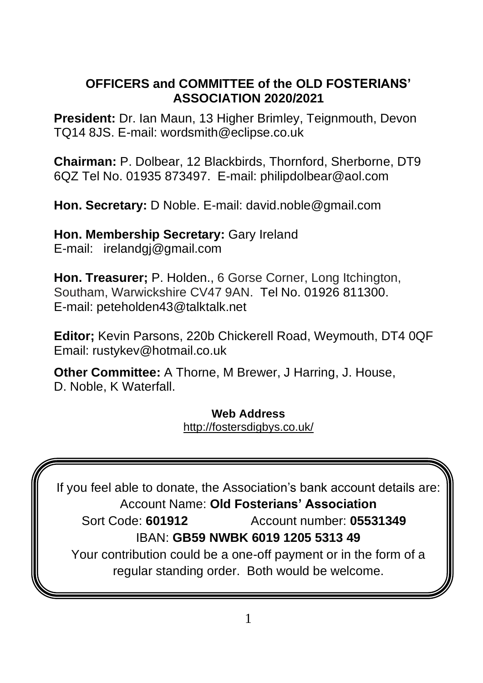#### **OFFICERS and COMMITTEE of the OLD FOSTERIANS' ASSOCIATION 2020/2021**

**President:** Dr. Ian Maun, 13 Higher Brimley, Teignmouth, Devon TQ14 8JS. E-mail: wordsmith@eclipse.co.uk

**Chairman:** P. Dolbear, 12 Blackbirds, Thornford, Sherborne, DT9 6QZ Tel No. 01935 873497. E-mail: philipdolbear@aol.com

**Hon. Secretary:** D Noble. E-mail: [david.noble@gmail.com](mailto:david.noble@gmail.com)

**Hon. Membership Secretary:** Gary Ireland E-mail: [irelandgj@gmail.com](mailto:irelandgj@gmail.com)

**Hon. Treasurer;** P. Holden., 6 Gorse Corner, Long Itchington, Southam, Warwickshire CV47 9AN. Tel No. 01926 811300. E-mail: peteholden43@talktalk.net

**Editor;** Kevin Parsons, 220b Chickerell Road, Weymouth, DT4 0QF Email: rustykev@hotmail.co.uk

**Other Committee:** A Thorne, M Brewer, J Harring, J. House, D. Noble, K Waterfall.

> **Web Address** <http://fostersdigbys.co.uk/>

If you feel able to donate, the Association's bank account details are: Account Name: **Old Fosterians' Association** Sort Code: **601912** Account number: **05531349**  IBAN: **GB59 NWBK 6019 1205 5313 49** Your contribution could be a one-off payment or in the form of a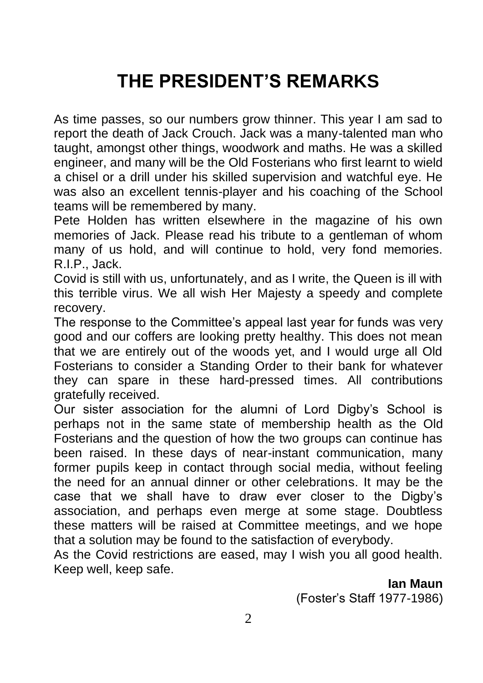# **THE PRESIDENT'S REMARKS**

As time passes, so our numbers grow thinner. This year I am sad to report the death of Jack Crouch. Jack was a many-talented man who taught, amongst other things, woodwork and maths. He was a skilled engineer, and many will be the Old Fosterians who first learnt to wield a chisel or a drill under his skilled supervision and watchful eye. He was also an excellent tennis-player and his coaching of the School teams will be remembered by many.

Pete Holden has written elsewhere in the magazine of his own memories of Jack. Please read his tribute to a gentleman of whom many of us hold, and will continue to hold, very fond memories. R.I.P., Jack.

Covid is still with us, unfortunately, and as I write, the Queen is ill with this terrible virus. We all wish Her Majesty a speedy and complete recovery.

The response to the Committee's appeal last year for funds was very good and our coffers are looking pretty healthy. This does not mean that we are entirely out of the woods yet, and I would urge all Old Fosterians to consider a Standing Order to their bank for whatever they can spare in these hard-pressed times. All contributions gratefully received.

Our sister association for the alumni of Lord Digby's School is perhaps not in the same state of membership health as the Old Fosterians and the question of how the two groups can continue has been raised. In these days of near-instant communication, many former pupils keep in contact through social media, without feeling the need for an annual dinner or other celebrations. It may be the case that we shall have to draw ever closer to the Digby's association, and perhaps even merge at some stage. Doubtless these matters will be raised at Committee meetings, and we hope that a solution may be found to the satisfaction of everybody.

As the Covid restrictions are eased, may I wish you all good health. Keep well, keep safe.

> **Ian Maun**  (Foster's Staff 1977-1986)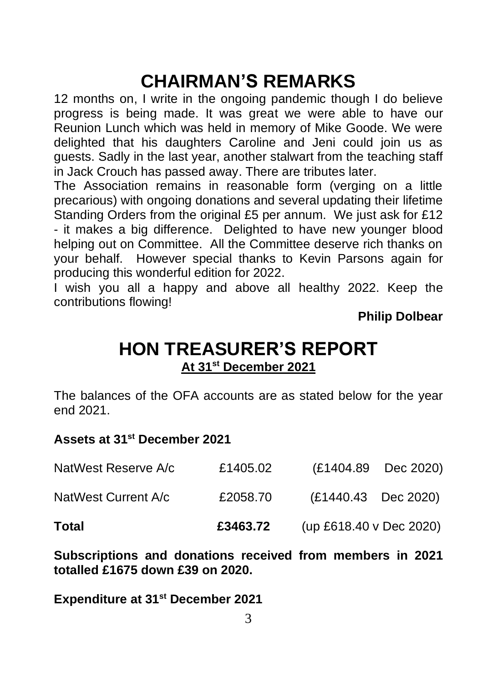# **CHAIRMAN'S REMARKS**

12 months on, I write in the ongoing pandemic though I do believe progress is being made. It was great we were able to have our Reunion Lunch which was held in memory of Mike Goode. We were delighted that his daughters Caroline and Jeni could join us as guests. Sadly in the last year, another stalwart from the teaching staff in Jack Crouch has passed away. There are tributes later.

The Association remains in reasonable form (verging on a little precarious) with ongoing donations and several updating their lifetime Standing Orders from the original £5 per annum. We just ask for £12 - it makes a big difference. Delighted to have new younger blood helping out on Committee. All the Committee deserve rich thanks on your behalf. However special thanks to Kevin Parsons again for producing this wonderful edition for 2022.

I wish you all a happy and above all healthy 2022. Keep the contributions flowing!

**Philip Dolbear**

### **HON TREASURER'S REPORT At 31st December 2021**

The balances of the OFA accounts are as stated below for the year end 2021.

#### **Assets at 31st December 2021**

| Total               | £3463.72 | (up £618.40 v Dec 2020) |                     |
|---------------------|----------|-------------------------|---------------------|
| NatWest Current A/c | £2058.70 | (£1440.43 Dec 2020)     |                     |
| NatWest Reserve A/c | £1405.02 |                         | (£1404.89 Dec 2020) |

**Subscriptions and donations received from members in 2021 totalled £1675 down £39 on 2020.**

**Expenditure at 31st December 2021**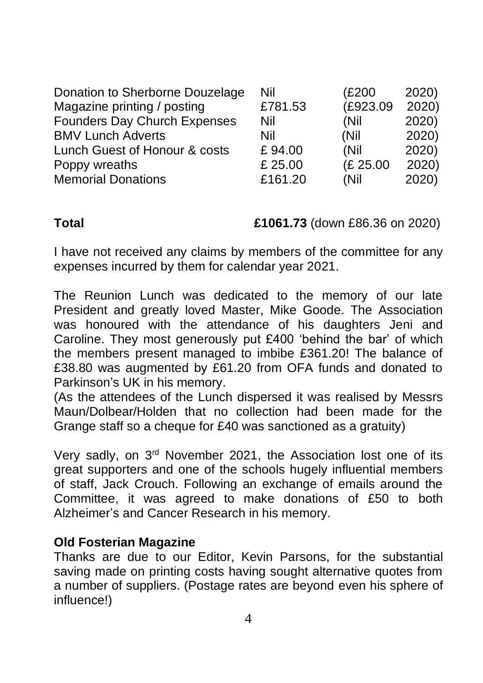| Donation to Sherborne Douzelage | Nil     | (£200    | 2020) |
|---------------------------------|---------|----------|-------|
| Magazine printing / posting     | £781.53 | (£923.09 | 2020) |
| Founders Day Church Expenses    | Nil     | (Nil     | 2020) |
| <b>BMV Lunch Adverts</b>        | Nil     | (Nil     | 2020) |
| Lunch Guest of Honour & costs   | £94.00  | (Nil     | 2020) |
| Poppy wreaths                   | £ 25.00 | (£ 25.00 | 2020) |
| <b>Memorial Donations</b>       | £161.20 | (Nil     | 2020) |

**Total £1061.73** (down £86.36 on 2020)

I have not received any claims by members of the committee for any expenses incurred by them for calendar year 2021.

The Reunion Lunch was dedicated to the memory of our late President and greatly loved Master, Mike Goode. The Association was honoured with the attendance of his daughters Jeni and Caroline. They most generously put £400 'behind the bar' of which the members present managed to imbibe £361.20! The balance of £38.80 was augmented by £61.20 from OFA funds and donated to Parkinson's UK in his memory.

(As the attendees of the Lunch dispersed it was realised by Messrs Maun/Dolbear/Holden that no collection had been made for the Grange staff so a cheque for £40 was sanctioned as a gratuity)

Very sadly, on 3rd November 2021, the Association lost one of its great supporters and one of the schools hugely influential members of staff, Jack Crouch. Following an exchange of emails around the Committee, it was agreed to make donations of £50 to both Alzheimer's and Cancer Research in his memory.

#### **Old Fosterian Magazine**

Thanks are due to our Editor, Kevin Parsons, for the substantial saving made on printing costs having sought alternative quotes from a number of suppliers. (Postage rates are beyond even his sphere of influence!)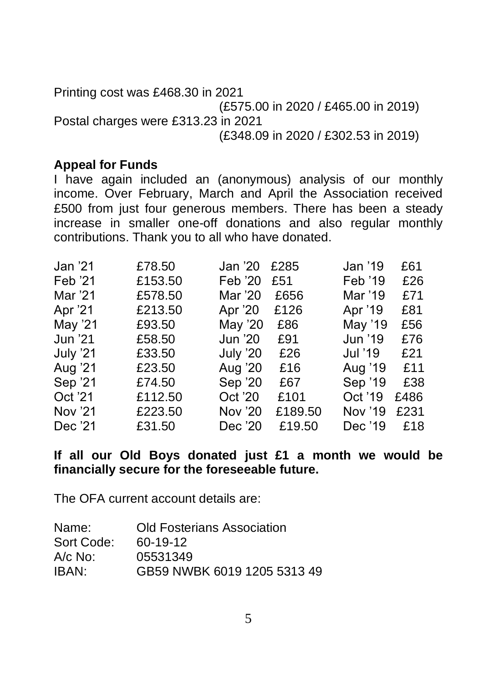Printing cost was £468.30 in 2021 (£575.00 in 2020 / £465.00 in 2019) Postal charges were £313.23 in 2021 (£348.09 in 2020 / £302.53 in 2019)

#### **Appeal for Funds**

I have again included an (anonymous) analysis of our monthly income. Over February, March and April the Association received £500 from just four generous members. There has been a steady increase in smaller one-off donations and also regular monthly contributions. Thank you to all who have donated.

| Jan '21  | £78.50  | Jan '20  | £285    | Jan '19 | £61  |
|----------|---------|----------|---------|---------|------|
| Feb '21  | £153.50 | Feb '20  | £51     | Feb '19 | £26  |
| Mar '21  | £578.50 | Mar '20  | £656    | Mar '19 | £71  |
| Apr '21  | £213.50 | Apr '20  | £126    | Apr '19 | £81  |
| May '21  | £93.50  | May '20  | £86     | May '19 | £56  |
| Jun '21  | £58.50  | Jun '20  | £91     | Jun '19 | £76  |
| July '21 | £33.50  | July '20 | £26     | Jul '19 | £21  |
| Aug '21  | £23.50  | Aug '20  | £16     | Aug '19 | £11  |
| Sep '21  | £74.50  | Sep '20  | £67     | Sep '19 | £38  |
| Oct '21  | £112.50 | Oct '20  | £101    | Oct '19 | £486 |
| Nov '21  | £223.50 | Nov '20  | £189.50 | Nov '19 | £231 |
| Dec '21  | £31.50  | Dec '20  | £19.50  | Dec '19 | £18  |
|          |         |          |         |         |      |

#### **If all our Old Boys donated just £1 a month we would be financially secure for the foreseeable future.**

The OFA current account details are:

| Name:      | <b>Old Fosterians Association</b> |
|------------|-----------------------------------|
| Sort Code: | 60-19-12                          |
| A/c No:    | 05531349                          |
| IBAN:      | GB59 NWBK 6019 1205 5313 49       |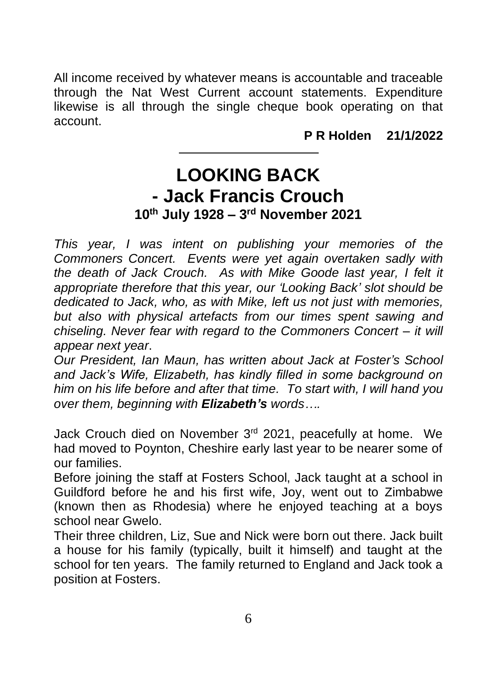All income received by whatever means is accountable and traceable through the Nat West Current account statements. Expenditure likewise is all through the single cheque book operating on that account.

**P R Holden 21/1/2022**

### **LOOKING BACK - Jack Francis Crouch 10th July 1928 – 3 rd November 2021**

*This year, I was intent on publishing your memories of the Commoners Concert. Events were yet again overtaken sadly with*  the death of Jack Crouch. As with Mike Goode last year. I felt it *appropriate therefore that this year, our 'Looking Back' slot should be dedicated to Jack, who, as with Mike, left us not just with memories, but also with physical artefacts from our times spent sawing and chiseling. Never fear with regard to the Commoners Concert – it will appear next year*.

*Our President, Ian Maun, has written about Jack at Foster's School and Jack's Wife, Elizabeth, has kindly filled in some background on him on his life before and after that time. To start with, I will hand you over them, beginning with Elizabeth's words….*

Jack Crouch died on November 3<sup>rd</sup> 2021, peacefully at home. We had moved to Poynton, Cheshire early last year to be nearer some of our families.

Before joining the staff at Fosters School, Jack taught at a school in Guildford before he and his first wife, Joy, went out to Zimbabwe (known then as Rhodesia) where he enjoyed teaching at a boys school near Gwelo.

Their three children, Liz, Sue and Nick were born out there. Jack built a house for his family (typically, built it himself) and taught at the school for ten years. The family returned to England and Jack took a position at Fosters.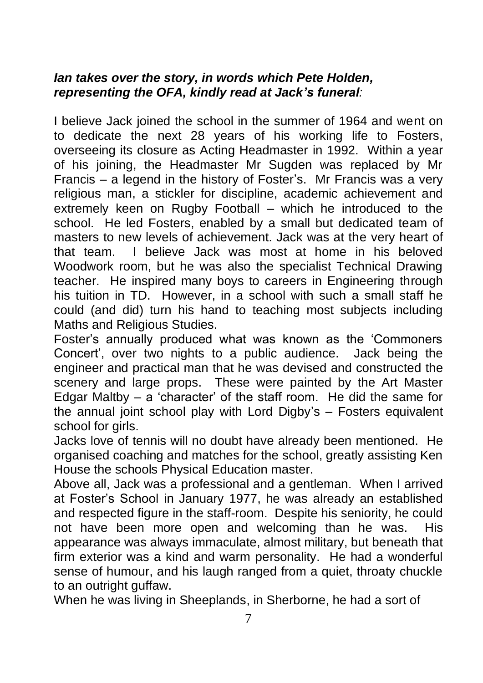#### *Ian takes over the story, in words which Pete Holden, representing the OFA, kindly read at Jack's funeral:*

I believe Jack joined the school in the summer of 1964 and went on to dedicate the next 28 years of his working life to Fosters, overseeing its closure as Acting Headmaster in 1992. Within a year of his joining, the Headmaster Mr Sugden was replaced by Mr Francis – a legend in the history of Foster's. Mr Francis was a very religious man, a stickler for discipline, academic achievement and extremely keen on Rugby Football – which he introduced to the school. He led Fosters, enabled by a small but dedicated team of masters to new levels of achievement. Jack was at the very heart of that team. I believe Jack was most at home in his beloved Woodwork room, but he was also the specialist Technical Drawing teacher. He inspired many boys to careers in Engineering through his tuition in TD. However, in a school with such a small staff he could (and did) turn his hand to teaching most subjects including Maths and Religious Studies.

Foster's annually produced what was known as the 'Commoners Concert', over two nights to a public audience. Jack being the engineer and practical man that he was devised and constructed the scenery and large props. These were painted by the Art Master Edgar Maltby – a 'character' of the staff room. He did the same for the annual joint school play with Lord Digby's – Fosters equivalent school for girls.

Jacks love of tennis will no doubt have already been mentioned. He organised coaching and matches for the school, greatly assisting Ken House the schools Physical Education master.

Above all, Jack was a professional and a gentleman. When I arrived at Foster's School in January 1977, he was already an established and respected figure in the staff-room. Despite his seniority, he could not have been more open and welcoming than he was. His appearance was always immaculate, almost military, but beneath that firm exterior was a kind and warm personality. He had a wonderful sense of humour, and his laugh ranged from a quiet, throaty chuckle to an outright guffaw.

When he was living in Sheeplands, in Sherborne, he had a sort of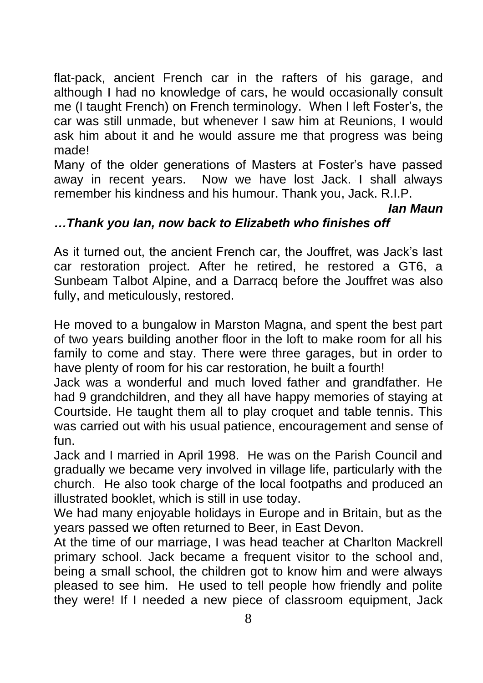flat-pack, ancient French car in the rafters of his garage, and although I had no knowledge of cars, he would occasionally consult me (I taught French) on French terminology. When I left Foster's, the car was still unmade, but whenever I saw him at Reunions, I would ask him about it and he would assure me that progress was being made!

Many of the older generations of Masters at Foster's have passed away in recent years. Now we have lost Jack. I shall always remember his kindness and his humour. Thank you, Jack. R.I.P.

#### *Ian Maun*

#### *…Thank you Ian, now back to Elizabeth who finishes off*

As it turned out, the ancient French car, the Jouffret, was Jack's last car restoration project. After he retired, he restored a GT6, a Sunbeam Talbot Alpine, and a Darracq before the Jouffret was also fully, and meticulously, restored.

He moved to a bungalow in Marston Magna, and spent the best part of two years building another floor in the loft to make room for all his family to come and stay. There were three garages, but in order to have plenty of room for his car restoration, he built a fourth!

Jack was a wonderful and much loved father and grandfather. He had 9 grandchildren, and they all have happy memories of staying at Courtside. He taught them all to play croquet and table tennis. This was carried out with his usual patience, encouragement and sense of fun.

Jack and I married in April 1998. He was on the Parish Council and gradually we became very involved in village life, particularly with the church. He also took charge of the local footpaths and produced an illustrated booklet, which is still in use today.

We had many enjoyable holidays in Europe and in Britain, but as the years passed we often returned to Beer, in East Devon.

At the time of our marriage, I was head teacher at Charlton Mackrell primary school. Jack became a frequent visitor to the school and, being a small school, the children got to know him and were always pleased to see him. He used to tell people how friendly and polite they were! If I needed a new piece of classroom equipment, Jack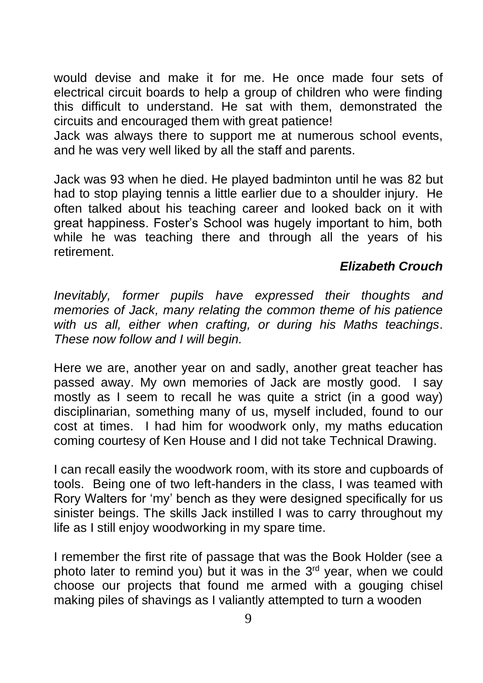would devise and make it for me. He once made four sets of electrical circuit boards to help a group of children who were finding this difficult to understand. He sat with them, demonstrated the circuits and encouraged them with great patience!

Jack was always there to support me at numerous school events, and he was very well liked by all the staff and parents.

Jack was 93 when he died. He played badminton until he was 82 but had to stop playing tennis a little earlier due to a shoulder injury. He often talked about his teaching career and looked back on it with great happiness. Foster's School was hugely important to him, both while he was teaching there and through all the years of his retirement.

#### *Elizabeth Crouch*

*Inevitably, former pupils have expressed their thoughts and memories of Jack, many relating the common theme of his patience with us all, either when crafting, or during his Maths teachings*. *These now follow and I will begin.*

Here we are, another year on and sadly, another great teacher has passed away. My own memories of Jack are mostly good. I say mostly as I seem to recall he was quite a strict (in a good way) disciplinarian, something many of us, myself included, found to our cost at times. I had him for woodwork only, my maths education coming courtesy of Ken House and I did not take Technical Drawing.

I can recall easily the woodwork room, with its store and cupboards of tools. Being one of two left-handers in the class, I was teamed with Rory Walters for 'my' bench as they were designed specifically for us sinister beings. The skills Jack instilled I was to carry throughout my life as I still enjoy woodworking in my spare time.

I remember the first rite of passage that was the Book Holder (see a photo later to remind you) but it was in the  $3<sup>rd</sup>$  year, when we could choose our projects that found me armed with a gouging chisel making piles of shavings as I valiantly attempted to turn a wooden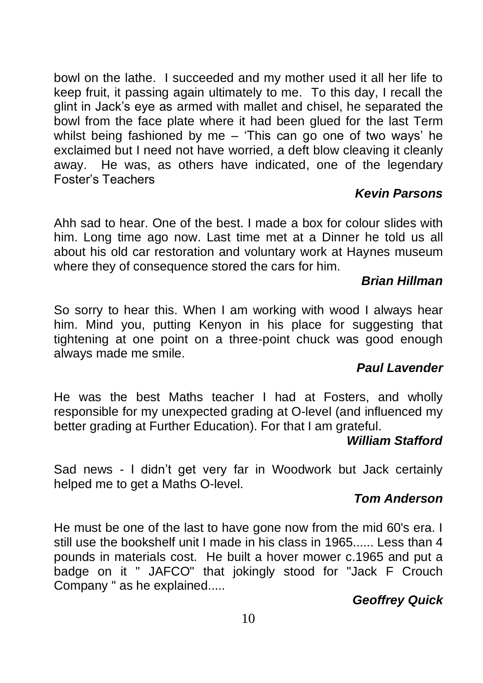bowl on the lathe. I succeeded and my mother used it all her life to keep fruit, it passing again ultimately to me. To this day, I recall the glint in Jack's eye as armed with mallet and chisel, he separated the bowl from the face plate where it had been glued for the last Term whilst being fashioned by me – 'This can go one of two ways' he exclaimed but I need not have worried, a deft blow cleaving it cleanly away. He was, as others have indicated, one of the legendary Foster's Teachers

#### *Kevin Parsons*

Ahh sad to hear. One of the best. I made a box for colour slides with him. Long time ago now. Last time met at a Dinner he told us all about his old car restoration and voluntary work at Haynes museum where they of consequence stored the cars for him.

#### *[Brian Hillman](https://www.facebook.com/groups/34298865181/user/100009974793907/?__cft__%5b0%5d=AZWuHeb9glpT0Yo1zLZGK6nXCUOvG6_z7S975ByqatXQ7qTmNQco44k5gsf6ZU3oEMEyIQnNQk6rRtMG5M44VskvQ1Kh6yCAXNckZoUEP4xVGPnwE2LUe9gAXG8M60QcE7xJvwQWTgEsf87hZrOa0-4bN49wWZtTkwc9doyf1YkdtjV-Mv2nBM1nFMKJvp2SsWg&__tn__=R%5d-R)*

So sorry to hear this. When I am working with wood I always hear him. Mind you, putting Kenyon in his place for suggesting that tightening at one point on a three-point chuck was good enough always made me smile.

#### *[Paul Lavender](https://www.facebook.com/groups/34298865181/user/100007777066685/?__cft__%5b0%5d=AZWuHeb9glpT0Yo1zLZGK6nXCUOvG6_z7S975ByqatXQ7qTmNQco44k5gsf6ZU3oEMEyIQnNQk6rRtMG5M44VskvQ1Kh6yCAXNckZoUEP4xVGPnwE2LUe9gAXG8M60QcE7xJvwQWTgEsf87hZrOa0-4bN49wWZtTkwc9doyf1YkdtjV-Mv2nBM1nFMKJvp2SsWg&__tn__=R%5d-R)*

He was the best Maths teacher I had at Fosters, and wholly responsible for my unexpected grading at O-level (and influenced my better grading at Further Education). For that I am grateful.

#### *[William Stafford](https://www.facebook.com/groups/34298865181/user/100001242672476/?__cft__%5b0%5d=AZWuHeb9glpT0Yo1zLZGK6nXCUOvG6_z7S975ByqatXQ7qTmNQco44k5gsf6ZU3oEMEyIQnNQk6rRtMG5M44VskvQ1Kh6yCAXNckZoUEP4xVGPnwE2LUe9gAXG8M60QcE7xJvwQWTgEsf87hZrOa0-4bN49wWZtTkwc9doyf1YkdtjV-Mv2nBM1nFMKJvp2SsWg&__tn__=R%5d-R)*

Sad news - I didn't get very far in Woodwork but Jack certainly helped me to get a Maths O-level.

#### *[Tom Anderson](https://www.facebook.com/groups/34298865181/user/100000994115613/?__cft__%5b0%5d=AZWuHeb9glpT0Yo1zLZGK6nXCUOvG6_z7S975ByqatXQ7qTmNQco44k5gsf6ZU3oEMEyIQnNQk6rRtMG5M44VskvQ1Kh6yCAXNckZoUEP4xVGPnwE2LUe9gAXG8M60QcE7xJvwQWTgEsf87hZrOa0-4bN49wWZtTkwc9doyf1YkdtjV-Mv2nBM1nFMKJvp2SsWg&__tn__=R%5d-R)*

He must be one of the last to have gone now from the mid 60's era. I still use the bookshelf unit I made in his class in 1965...... Less than 4 pounds in materials cost. He built a hover mower c.1965 and put a badge on it " JAFCO" that jokingly stood for "Jack F Crouch Company " as he explained.....

#### *[Geoffrey Quick](https://www.facebook.com/groups/34298865181/user/100003822493700/?__cft__%5b0%5d=AZWuHeb9glpT0Yo1zLZGK6nXCUOvG6_z7S975ByqatXQ7qTmNQco44k5gsf6ZU3oEMEyIQnNQk6rRtMG5M44VskvQ1Kh6yCAXNckZoUEP4xVGPnwE2LUe9gAXG8M60QcE7xJvwQWTgEsf87hZrOa0-4bN49wWZtTkwc9doyf1YkdtjV-Mv2nBM1nFMKJvp2SsWg&__tn__=R%5d-R)*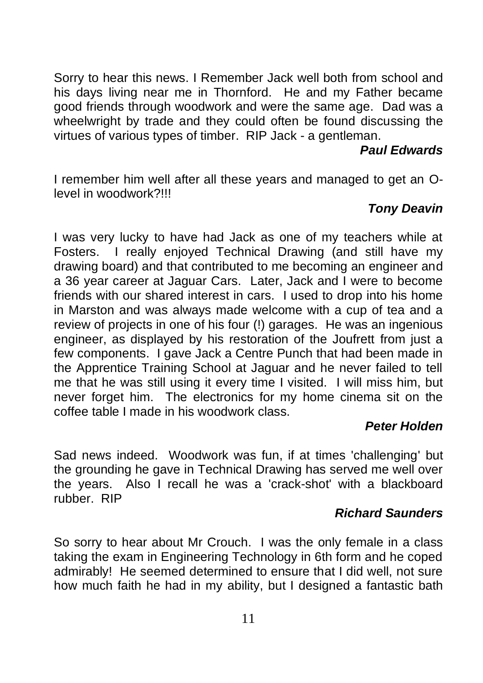Sorry to hear this news. I Remember Jack well both from school and his days living near me in Thornford. He and my Father became good friends through woodwork and were the same age. Dad was a wheelwright by trade and they could often be found discussing the virtues of various types of timber. RIP Jack - a gentleman.

#### *Paul [Edwards](https://www.facebook.com/groups/34298865181/user/100000756920889/?__cft__%5b0%5d=AZWuHeb9glpT0Yo1zLZGK6nXCUOvG6_z7S975ByqatXQ7qTmNQco44k5gsf6ZU3oEMEyIQnNQk6rRtMG5M44VskvQ1Kh6yCAXNckZoUEP4xVGPnwE2LUe9gAXG8M60QcE7xJvwQWTgEsf87hZrOa0-4bN49wWZtTkwc9doyf1YkdtjV-Mv2nBM1nFMKJvp2SsWg&__tn__=R%5d-R)*

I remember him well after all these years and managed to get an Olevel in woodwork?!!!

#### *[Tony Deavin](https://www.facebook.com/groups/34298865181/user/1176181959/?__cft__%5b0%5d=AZWuHeb9glpT0Yo1zLZGK6nXCUOvG6_z7S975ByqatXQ7qTmNQco44k5gsf6ZU3oEMEyIQnNQk6rRtMG5M44VskvQ1Kh6yCAXNckZoUEP4xVGPnwE2LUe9gAXG8M60QcE7xJvwQWTgEsf87hZrOa0-4bN49wWZtTkwc9doyf1YkdtjV-Mv2nBM1nFMKJvp2SsWg&__tn__=R%5d-R)*

I was very lucky to have had Jack as one of my teachers while at Fosters. I really enjoyed Technical Drawing (and still have my drawing board) and that contributed to me becoming an engineer and a 36 year career at Jaguar Cars. Later, Jack and I were to become friends with our shared interest in cars. I used to drop into his home in Marston and was always made welcome with a cup of tea and a review of projects in one of his four (!) garages. He was an ingenious engineer, as displayed by his restoration of the Joufrett from just a few components. I gave Jack a Centre Punch that had been made in the Apprentice Training School at Jaguar and he never failed to tell me that he was still using it every time I visited. I will miss him, but never forget him. The electronics for my home cinema sit on the coffee table I made in his woodwork class.

#### *Peter Holden*

Sad news indeed. Woodwork was fun, if at times 'challenging' but the grounding he gave in Technical Drawing has served me well over the years. Also I recall he was a 'crack-shot' with a blackboard rubber. RIP

#### *[Richard Saunders](https://www.facebook.com/groups/432255810148610/user/100000521554847/?__cft__%5b0%5d=AZU74JN690PQyv846X6HzklJGW1Qbtsamdx8SjzNqURRk6IHcV0xAYjNJYqx4QYsIwzgkNw8nPYKNTi5-Dosd08l9wnJbK9_UuOmFBqqePA4cMYEqbcM_NvcBUejJ7YZC_0zjKmWGi3QYrzBodlwD0iVUE5HEvsN_YG-RNtkVIhAbbirRT3BXXZkS9W2WLdn1aY&__tn__=R%5d-R)*

So sorry to hear about Mr Crouch. I was the only female in a class taking the exam in Engineering Technology in 6th form and he coped admirably! He seemed determined to ensure that I did well, not sure how much faith he had in my ability, but I designed a fantastic bath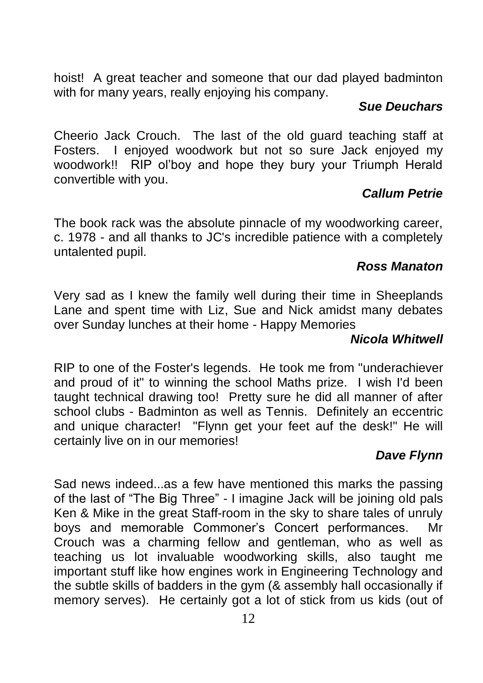hoist! A great teacher and someone that our dad played badminton with for many years, really enjoying his company.

#### *[Sue Deuchars](https://www.facebook.com/groups/432255810148610/user/100006566775774/?__cft__%5b0%5d=AZUxeX_cMU6Wl_RcYtDvIDXUm3QEuJFcfCCd2HVLxT-lXGa6weP1Z0sDZXPgWrMs7BQGuZ8UIpDEOx2c5bUvG1Fen4Apt41bisO6yCeXdREhXmoB_PG_u1j7WqXdZ2tMaQvanTgGqcA8GIPGXVp9o25W-ICT17obaoDwEBKHNFQc6-ao5T-n-kfyMEJpb0rbiCI&__tn__=R%5d-R)*

Cheerio Jack Crouch. The last of the old guard teaching staff at Fosters. I enjoyed woodwork but not so sure Jack enjoyed my woodwork!! RIP ol'boy and hope they bury your Triumph Herald convertible with you.

#### *[Callum Petrie](https://www.facebook.com/groups/432255810148610/user/827254802/?__cft__%5b0%5d=AZXZBIg_gtnuiwOszTLjxpheChYUtcpdqORkkoej_T5q-Us3gf4Rvcti3Ilq0p9--ot5ed0hxh4Faj268LxLD8wQxgXvz7-nWpKqw997aaBBkmTBhJToBamfQMqvgtT1lNj23nW5XmKKbbNtDCApk_re4w5cofl88NjxMPu3rte1ZBDobynWeaEa0hk1CE76lDE&__tn__=R%5d-R)*

The book rack was the absolute pinnacle of my woodworking career, c. 1978 - and all thanks to JC's incredible patience with a completely untalented pupil.

#### *[Ross Manaton](https://www.facebook.com/groups/432255810148610/user/745560468/?__cft__%5b0%5d=AZXZBIg_gtnuiwOszTLjxpheChYUtcpdqORkkoej_T5q-Us3gf4Rvcti3Ilq0p9--ot5ed0hxh4Faj268LxLD8wQxgXvz7-nWpKqw997aaBBkmTBhJToBamfQMqvgtT1lNj23nW5XmKKbbNtDCApk_re4w5cofl88NjxMPu3rte1ZBDobynWeaEa0hk1CE76lDE&__tn__=R%5d-R)*

Very sad as I knew the family well during their time in Sheeplands Lane and spent time with Liz, Sue and Nick amidst many debates over Sunday lunches at their home - Happy Memories

#### *[Nicola Whitwell](https://www.facebook.com/groups/432255810148610/user/765078473/?__cft__%5b0%5d=AZXZBIg_gtnuiwOszTLjxpheChYUtcpdqORkkoej_T5q-Us3gf4Rvcti3Ilq0p9--ot5ed0hxh4Faj268LxLD8wQxgXvz7-nWpKqw997aaBBkmTBhJToBamfQMqvgtT1lNj23nW5XmKKbbNtDCApk_re4w5cofl88NjxMPu3rte1ZBDobynWeaEa0hk1CE76lDE&__tn__=R%5d-R)*

RIP to one of the Foster's legends. He took me from "underachiever and proud of it" to winning the school Maths prize. I wish I'd been taught technical drawing too! Pretty sure he did all manner of after school clubs - Badminton as well as Tennis. Definitely an eccentric and unique character! "Flynn get your feet auf the desk!" He will certainly live on in our memories!

#### *[Dave Flynn](https://www.facebook.com/groups/432255810148610/user/548551346/?__cft__%5b0%5d=AZXZBIg_gtnuiwOszTLjxpheChYUtcpdqORkkoej_T5q-Us3gf4Rvcti3Ilq0p9--ot5ed0hxh4Faj268LxLD8wQxgXvz7-nWpKqw997aaBBkmTBhJToBamfQMqvgtT1lNj23nW5XmKKbbNtDCApk_re4w5cofl88NjxMPu3rte1ZBDobynWeaEa0hk1CE76lDE&__tn__=R%5d-R)*

Sad news indeed...as a few have mentioned this marks the passing of the last of "The Big Three" - I imagine Jack will be joining old pals Ken & Mike in the great Staff-room in the sky to share tales of unruly boys and memorable Commoner's Concert performances. Mr Crouch was a charming fellow and gentleman, who as well as teaching us lot invaluable woodworking skills, also taught me important stuff like how engines work in Engineering Technology and the subtle skills of badders in the gym (& assembly hall occasionally if memory serves). He certainly got a lot of stick from us kids (out of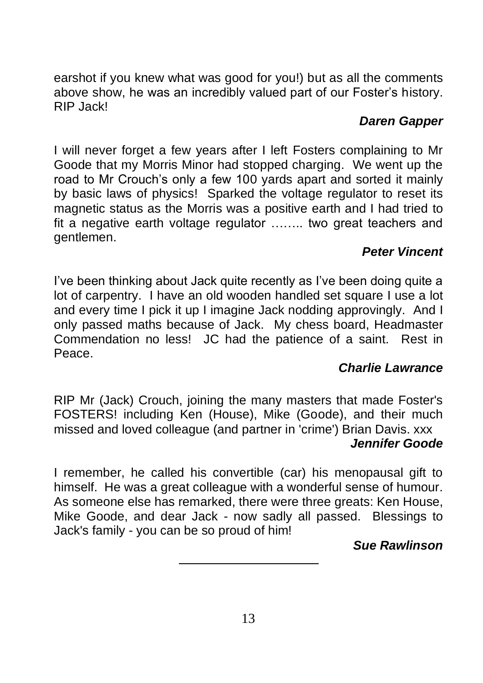earshot if you knew what was good for you!) but as all the comments above show, he was an incredibly valued part of our Foster's history. RIP Jack!

#### *[Daren Gapper](https://www.facebook.com/groups/432255810148610/user/100000409820336/?__cft__%5b0%5d=AZXZBIg_gtnuiwOszTLjxpheChYUtcpdqORkkoej_T5q-Us3gf4Rvcti3Ilq0p9--ot5ed0hxh4Faj268LxLD8wQxgXvz7-nWpKqw997aaBBkmTBhJToBamfQMqvgtT1lNj23nW5XmKKbbNtDCApk_re4w5cofl88NjxMPu3rte1ZBDobynWeaEa0hk1CE76lDE&__tn__=R%5d-R)*

I will never forget a few years after I left Fosters complaining to Mr Goode that my Morris Minor had stopped charging. We went up the road to Mr Crouch's only a few 100 yards apart and sorted it mainly by basic laws of physics! Sparked the voltage regulator to reset its magnetic status as the Morris was a positive earth and I had tried to fit a negative earth voltage regulator …….. two great teachers and gentlemen.

### *[Peter Vincent](https://www.facebook.com/groups/34298865181/user/100009561706640/?__cft__%5b0%5d=AZUOdo2hVrsturBy42xy-hon-G3m4upV-CgJbpVCDP3vnA8PtKDG8svZvxqELUuY1NpeVxobpqOO0CloxsSQJL2g0R13VfJNromkyMjFH4ICEI53JALGvPOwIw1edVvmzCToMiASkgngVGF1OuHG3LcctAvr-hjjVSEiaPY3bQltADjSLAizs1bGPgKevM668lw&__tn__=R%5d-R)*

I've been thinking about Jack quite recently as I've been doing quite a lot of carpentry. I have an old wooden handled set square I use a lot and every time I pick it up I imagine Jack nodding approvingly. And I only passed maths because of Jack. My chess board, Headmaster Commendation no less! JC had the patience of a saint. Rest in Peace.

#### *[Charlie Lawrance](https://www.facebook.com/groups/432255810148610/user/100003045559429/?__cft__%5b0%5d=AZVaPzCyJ8W72xPj54jqkWg5vRvpwOvJZPRVJRBHQ6eV0JGxusA7wkaMrtQFSuXCg4BRWzJ6DnTBUYboWyQUMt794UGMW-V55EBVeUCHOF_USw7jZj111ScLHPZZas-kDMOx3yrSZgLc-37LIEvT_kh2CN3jWZX8guiMZIsz_1QLeIm_7wPO_pEPkZAHpSxnMjE&__tn__=R%5d-R)*

RIP Mr (Jack) Crouch, joining the many masters that made Foster's FOSTERS! including Ken (House), Mike (Goode), and their much missed and loved colleague (and partner in 'crime') Brian Davis. xxx *[Jennifer Goode](https://www.facebook.com/groups/432255810148610/user/100008152292652/?__cft__%5b0%5d=AZXZBIg_gtnuiwOszTLjxpheChYUtcpdqORkkoej_T5q-Us3gf4Rvcti3Ilq0p9--ot5ed0hxh4Faj268LxLD8wQxgXvz7-nWpKqw997aaBBkmTBhJToBamfQMqvgtT1lNj23nW5XmKKbbNtDCApk_re4w5cofl88NjxMPu3rte1ZBDobynWeaEa0hk1CE76lDE&__tn__=R%5d-R)*

I remember, he called his convertible (car) his menopausal gift to himself. He was a great colleague with a wonderful sense of humour. As someone else has remarked, there were three greats: Ken House, Mike Goode, and dear Jack - now sadly all passed. Blessings to Jack's family - you can be so proud of him!

#### *[Sue Rawlinson](https://www.facebook.com/groups/432255810148610/user/100050632031484/?__cft__%5b0%5d=AZXZBIg_gtnuiwOszTLjxpheChYUtcpdqORkkoej_T5q-Us3gf4Rvcti3Ilq0p9--ot5ed0hxh4Faj268LxLD8wQxgXvz7-nWpKqw997aaBBkmTBhJToBamfQMqvgtT1lNj23nW5XmKKbbNtDCApk_re4w5cofl88NjxMPu3rte1ZBDobynWeaEa0hk1CE76lDE&__tn__=R%5d-R)*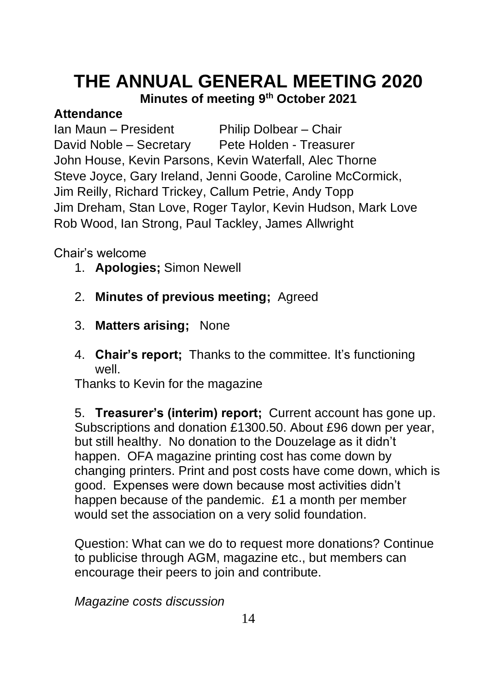# **THE ANNUAL GENERAL MEETING 2020**

**Minutes of meeting 9 th October 2021**

#### **Attendance**

Ian Maun – President Philip Dolbear – Chair David Noble – Secretary Pete Holden - Treasurer John House, Kevin Parsons, Kevin Waterfall, Alec Thorne Steve Joyce, Gary Ireland, Jenni Goode, Caroline McCormick, Jim Reilly, Richard Trickey, Callum Petrie, Andy Topp Jim Dreham, Stan Love, Roger Taylor, Kevin Hudson, Mark Love Rob Wood, Ian Strong, Paul Tackley, James Allwright

Chair's welcome

- 1. **Apologies;** Simon Newell
- 2. **Minutes of previous meeting;** Agreed
- 3. **Matters arising;** None
- 4. **Chair's report;** Thanks to the committee. It's functioning well.

Thanks to Kevin for the magazine

5. **Treasurer's (interim) report;** Current account has gone up. Subscriptions and donation £1300.50. About £96 down per year, but still healthy. No donation to the Douzelage as it didn't happen. OFA magazine printing cost has come down by changing printers. Print and post costs have come down, which is good. Expenses were down because most activities didn't happen because of the pandemic. £1 a month per member would set the association on a very solid foundation.

Question: What can we do to request more donations? Continue to publicise through AGM, magazine etc., but members can encourage their peers to join and contribute.

*Magazine costs discussion*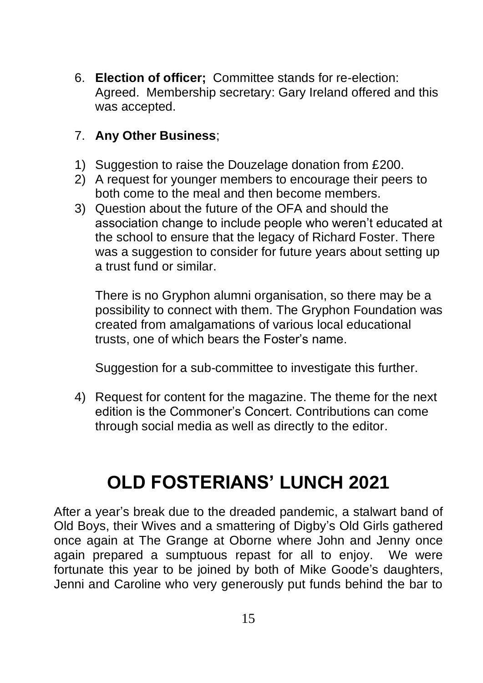6. **Election of officer;** Committee stands for re-election: Agreed. Membership secretary: Gary Ireland offered and this was accepted.

#### 7. **Any Other Business**;

- 1) Suggestion to raise the Douzelage donation from £200.
- 2) A request for younger members to encourage their peers to both come to the meal and then become members.
- 3) Question about the future of the OFA and should the association change to include people who weren't educated at the school to ensure that the legacy of Richard Foster. There was a suggestion to consider for future years about setting up a trust fund or similar.

There is no Gryphon alumni organisation, so there may be a possibility to connect with them. The Gryphon Foundation was created from amalgamations of various local educational trusts, one of which bears the Foster's name.

Suggestion for a sub-committee to investigate this further.

4) Request for content for the magazine. The theme for the next edition is the Commoner's Concert. Contributions can come through social media as well as directly to the editor.

# **OLD FOSTERIANS' LUNCH 2021**

After a year's break due to the dreaded pandemic, a stalwart band of Old Boys, their Wives and a smattering of Digby's Old Girls gathered once again at The Grange at Oborne where John and Jenny once again prepared a sumptuous repast for all to enjoy. We were fortunate this year to be joined by both of Mike Goode's daughters, Jenni and Caroline who very generously put funds behind the bar to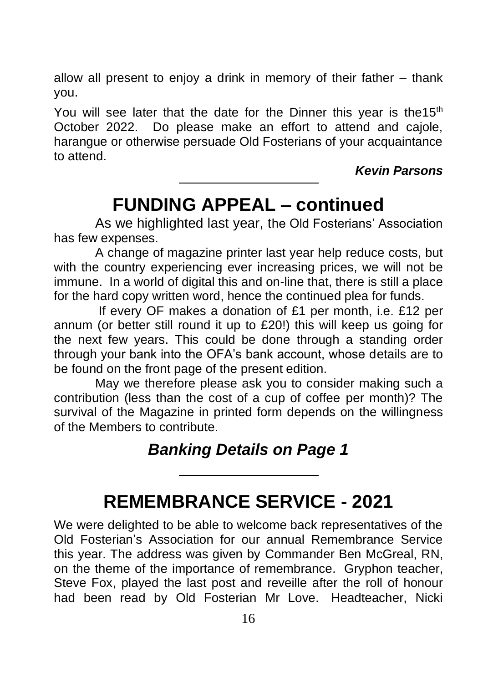allow all present to enjoy a drink in memory of their father – thank you.

You will see later that the date for the Dinner this year is the  $15<sup>th</sup>$ October 2022. Do please make an effort to attend and cajole, harangue or otherwise persuade Old Fosterians of your acquaintance to attend.

*Kevin Parsons*

### **FUNDING APPEAL – continued**

As we highlighted last year, the Old Fosterians' Association has few expenses.

A change of magazine printer last year help reduce costs, but with the country experiencing ever increasing prices, we will not be immune. In a world of digital this and on-line that, there is still a place for the hard copy written word, hence the continued plea for funds.

If every OF makes a donation of £1 per month, i.e. £12 per annum (or better still round it up to £20!) this will keep us going for the next few years. This could be done through a standing order through your bank into the OFA's bank account, whose details are to be found on the front page of the present edition.

May we therefore please ask you to consider making such a contribution (less than the cost of a cup of coffee per month)? The survival of the Magazine in printed form depends on the willingness of the Members to contribute.

### *Banking Details on Page 1*

## **REMEMBRANCE SERVICE - 2021**

We were delighted to be able to welcome back representatives of the Old Fosterian's Association for our annual Remembrance Service this year. The address was given by Commander Ben McGreal, RN, on the theme of the importance of remembrance. Gryphon teacher, Steve Fox, played the last post and reveille after the roll of honour had been read by Old Fosterian Mr Love. Headteacher, Nicki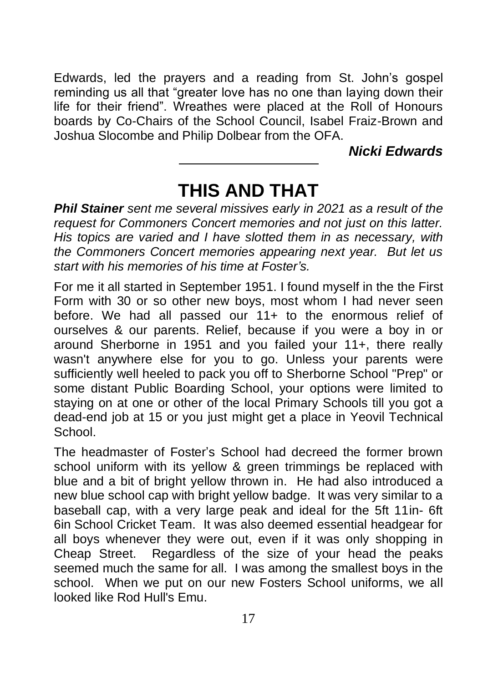Edwards, led the prayers and a reading from St. John's gospel reminding us all that "greater love has no one than laying down their life for their friend". Wreathes were placed at the Roll of Honours boards by Co-Chairs of the School Council, Isabel Fraiz-Brown and Joshua Slocombe and Philip Dolbear from the OFA.

*Nicki Edwards*

# **THIS AND THAT**

*Phil Stainer sent me several missives early in 2021 as a result of the request for Commoners Concert memories and not just on this latter. His topics are varied and I have slotted them in as necessary, with the Commoners Concert memories appearing next year. But let us start with his memories of his time at Foster's.*

For me it all started in September 1951. I found myself in the the First Form with 30 or so other new boys, most whom I had never seen before. We had all passed our 11+ to the enormous relief of ourselves & our parents. Relief, because if you were a boy in or around Sherborne in 1951 and you failed your 11+, there really wasn't anywhere else for you to go. Unless your parents were sufficiently well heeled to pack you off to Sherborne School "Prep" or some distant Public Boarding School, your options were limited to staying on at one or other of the local Primary Schools till you got a dead-end job at 15 or you just might get a place in Yeovil Technical School.

The headmaster of Foster's School had decreed the former brown school uniform with its yellow & green trimmings be replaced with blue and a bit of bright yellow thrown in. He had also introduced a new blue school cap with bright yellow badge. It was very similar to a baseball cap, with a very large peak and ideal for the 5ft 11in- 6ft 6in School Cricket Team. It was also deemed essential headgear for all boys whenever they were out, even if it was only shopping in Cheap Street. Regardless of the size of your head the peaks seemed much the same for all. I was among the smallest boys in the school. When we put on our new Fosters School uniforms, we all looked like Rod Hull's Emu.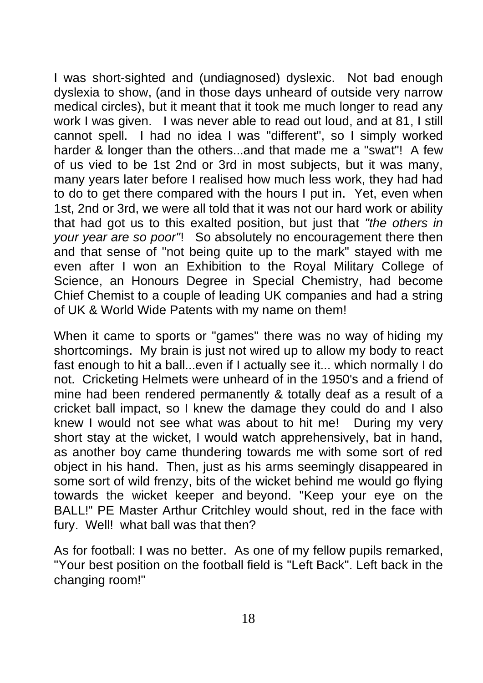I was short-sighted and (undiagnosed) dyslexic. Not bad enough dyslexia to show, (and in those days unheard of outside very narrow medical circles), but it meant that it took me much longer to read any work I was given. I was never able to read out loud, and at 81, I still cannot spell. I had no idea I was "different", so I simply worked harder & longer than the others...and that made me a "swat"! A few of us vied to be 1st 2nd or 3rd in most subjects, but it was many, many years later before I realised how much less work, they had had to do to get there compared with the hours I put in. Yet, even when 1st, 2nd or 3rd, we were all told that it was not our hard work or ability that had got us to this exalted position, but just that *"the others in your year are so poor"*! So absolutely no encouragement there then and that sense of "not being quite up to the mark" stayed with me even after I won an Exhibition to the Royal Military College of Science, an Honours Degree in Special Chemistry, had become Chief Chemist to a couple of leading UK companies and had a string of UK & World Wide Patents with my name on them!

When it came to sports or "games" there was no way of hiding my shortcomings. My brain is just not wired up to allow my body to react fast enough to hit a ball...even if I actually see it... which normally I do not. Cricketing Helmets were unheard of in the 1950's and a friend of mine had been rendered permanently & totally deaf as a result of a cricket ball impact, so I knew the damage they could do and I also knew I would not see what was about to hit me! During my very short stay at the wicket, I would watch apprehensively, bat in hand, as another boy came thundering towards me with some sort of red object in his hand. Then, just as his arms seemingly disappeared in some sort of wild frenzy, bits of the wicket behind me would go flying towards the wicket keeper and beyond. "Keep your eye on the BALL!" PE Master Arthur Critchley would shout, red in the face with fury. Well! what ball was that then?

As for football: I was no better. As one of my fellow pupils remarked, "Your best position on the football field is "Left Back". Left back in the changing room!"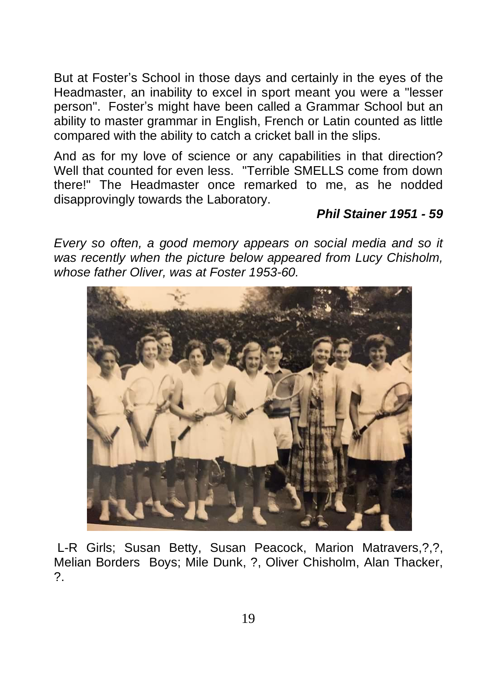But at Foster's School in those days and certainly in the eyes of the Headmaster, an inability to excel in sport meant you were a "lesser person". Foster's might have been called a Grammar School but an ability to master grammar in English, French or Latin counted as little compared with the ability to catch a cricket ball in the slips.

And as for my love of science or any capabilities in that direction? Well that counted for even less. "Terrible SMELLS come from down there!" The Headmaster once remarked to me, as he nodded disapprovingly towards the Laboratory.

#### *Phil Stainer 1951 - 59*

*Every so often, a good memory appears on social media and so it was recently when the picture below appeared from Lucy Chisholm, whose father Oliver, was at Foster 1953-60.*



L-R Girls; Susan Betty, Susan Peacock, Marion Matravers,?,?, Melian Borders Boys; Mile Dunk, ?, Oliver Chisholm, Alan Thacker, ?.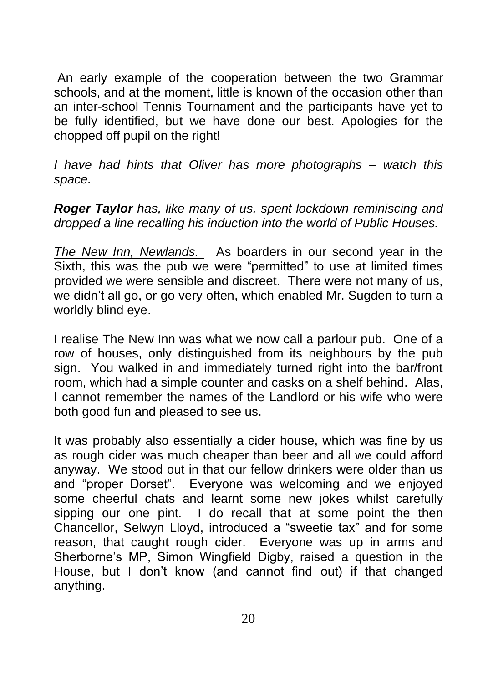An early example of the cooperation between the two Grammar schools, and at the moment, little is known of the occasion other than an inter-school Tennis Tournament and the participants have yet to be fully identified, but we have done our best. Apologies for the chopped off pupil on the right!

*I have had hints that Oliver has more photographs – watch this space.*

*Roger Taylor has, like many of us, spent lockdown reminiscing and dropped a line recalling his induction into the world of Public Houses.*

*The New Inn, Newlands.* As boarders in our second year in the Sixth, this was the pub we were "permitted" to use at limited times provided we were sensible and discreet. There were not many of us, we didn't all go, or go very often, which enabled Mr. Sugden to turn a worldly blind eye.

I realise The New Inn was what we now call a parlour pub. One of a row of houses, only distinguished from its neighbours by the pub sign. You walked in and immediately turned right into the bar/front room, which had a simple counter and casks on a shelf behind. Alas, I cannot remember the names of the Landlord or his wife who were both good fun and pleased to see us.

It was probably also essentially a cider house, which was fine by us as rough cider was much cheaper than beer and all we could afford anyway. We stood out in that our fellow drinkers were older than us and "proper Dorset". Everyone was welcoming and we enjoyed some cheerful chats and learnt some new jokes whilst carefully sipping our one pint. I do recall that at some point the then Chancellor, Selwyn Lloyd, introduced a "sweetie tax" and for some reason, that caught rough cider. Everyone was up in arms and Sherborne's MP, Simon Wingfield Digby, raised a question in the House, but I don't know (and cannot find out) if that changed anything.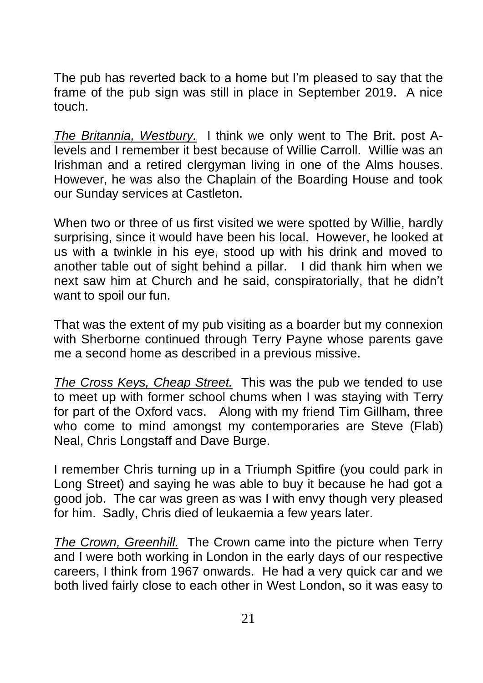The pub has reverted back to a home but I'm pleased to say that the frame of the pub sign was still in place in September 2019. A nice touch.

*The Britannia, Westbury.* I think we only went to The Brit. post Alevels and I remember it best because of Willie Carroll. Willie was an Irishman and a retired clergyman living in one of the Alms houses. However, he was also the Chaplain of the Boarding House and took our Sunday services at Castleton.

When two or three of us first visited we were spotted by Willie, hardly surprising, since it would have been his local. However, he looked at us with a twinkle in his eye, stood up with his drink and moved to another table out of sight behind a pillar. I did thank him when we next saw him at Church and he said, conspiratorially, that he didn't want to spoil our fun.

That was the extent of my pub visiting as a boarder but my connexion with Sherborne continued through Terry Payne whose parents gave me a second home as described in a previous missive.

*The Cross Keys, Cheap Street.* This was the pub we tended to use to meet up with former school chums when I was staying with Terry for part of the Oxford vacs. Along with my friend Tim Gillham, three who come to mind amongst my contemporaries are Steve (Flab) Neal, Chris Longstaff and Dave Burge.

I remember Chris turning up in a Triumph Spitfire (you could park in Long Street) and saying he was able to buy it because he had got a good job. The car was green as was I with envy though very pleased for him. Sadly, Chris died of leukaemia a few years later.

*The Crown, Greenhill.* The Crown came into the picture when Terry and I were both working in London in the early days of our respective careers, I think from 1967 onwards. He had a very quick car and we both lived fairly close to each other in West London, so it was easy to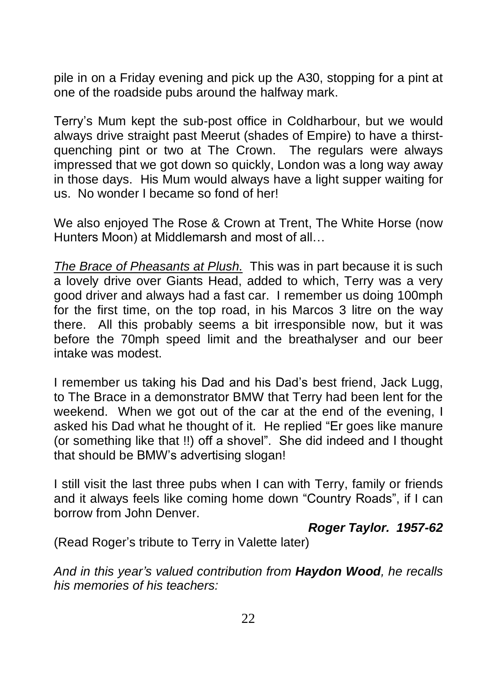pile in on a Friday evening and pick up the A30, stopping for a pint at one of the roadside pubs around the halfway mark.

Terry's Mum kept the sub-post office in Coldharbour, but we would always drive straight past Meerut (shades of Empire) to have a thirstquenching pint or two at The Crown. The regulars were always impressed that we got down so quickly, London was a long way away in those days. His Mum would always have a light supper waiting for us. No wonder I became so fond of her!

We also enjoyed The Rose & Crown at Trent, The White Horse (now Hunters Moon) at Middlemarsh and most of all…

*The Brace of Pheasants at Plush.* This was in part because it is such a lovely drive over Giants Head, added to which, Terry was a very good driver and always had a fast car. I remember us doing 100mph for the first time, on the top road, in his Marcos 3 litre on the way there. All this probably seems a bit irresponsible now, but it was before the 70mph speed limit and the breathalyser and our beer intake was modest.

I remember us taking his Dad and his Dad's best friend, Jack Lugg, to The Brace in a demonstrator BMW that Terry had been lent for the weekend. When we got out of the car at the end of the evening, I asked his Dad what he thought of it. He replied "Er goes like manure (or something like that !!) off a shovel". She did indeed and I thought that should be BMW's advertising slogan!

I still visit the last three pubs when I can with Terry, family or friends and it always feels like coming home down "Country Roads", if I can borrow from John Denver.

#### *Roger Taylor. 1957-62*

(Read Roger's tribute to Terry in Valette later)

*And in this year's valued contribution from Haydon Wood, he recalls his memories of his teachers:*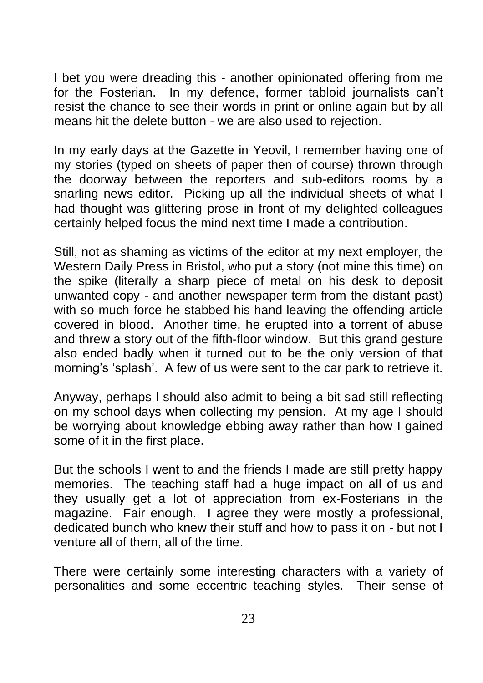I bet you were dreading this - another opinionated offering from me for the Fosterian. In my defence, former tabloid journalists can't resist the chance to see their words in print or online again but by all means hit the delete button - we are also used to rejection.

In my early days at the Gazette in Yeovil, I remember having one of my stories (typed on sheets of paper then of course) thrown through the doorway between the reporters and sub-editors rooms by a snarling news editor. Picking up all the individual sheets of what I had thought was glittering prose in front of my delighted colleagues certainly helped focus the mind next time I made a contribution.

Still, not as shaming as victims of the editor at my next employer, the Western Daily Press in Bristol, who put a story (not mine this time) on the spike (literally a sharp piece of metal on his desk to deposit unwanted copy - and another newspaper term from the distant past) with so much force he stabbed his hand leaving the offending article covered in blood. Another time, he erupted into a torrent of abuse and threw a story out of the fifth-floor window. But this grand gesture also ended badly when it turned out to be the only version of that morning's 'splash'. A few of us were sent to the car park to retrieve it.

Anyway, perhaps I should also admit to being a bit sad still reflecting on my school days when collecting my pension. At my age I should be worrying about knowledge ebbing away rather than how I gained some of it in the first place.

But the schools I went to and the friends I made are still pretty happy memories. The teaching staff had a huge impact on all of us and they usually get a lot of appreciation from ex-Fosterians in the magazine. Fair enough. I agree they were mostly a professional, dedicated bunch who knew their stuff and how to pass it on - but not I venture all of them, all of the time.

There were certainly some interesting characters with a variety of personalities and some eccentric teaching styles. Their sense of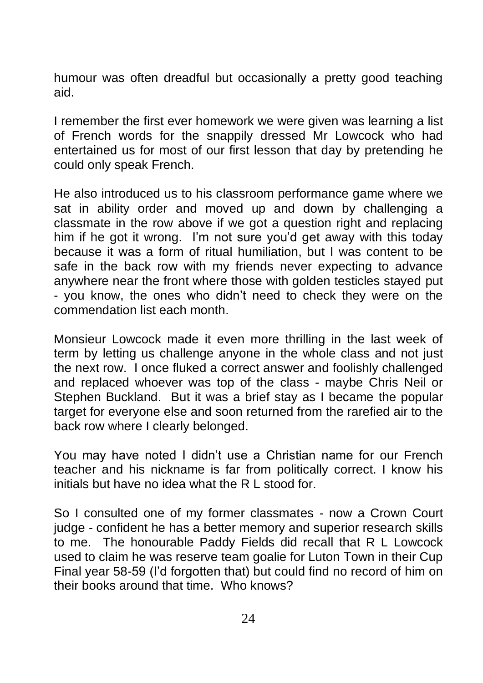humour was often dreadful but occasionally a pretty good teaching aid.

I remember the first ever homework we were given was learning a list of French words for the snappily dressed Mr Lowcock who had entertained us for most of our first lesson that day by pretending he could only speak French.

He also introduced us to his classroom performance game where we sat in ability order and moved up and down by challenging a classmate in the row above if we got a question right and replacing him if he got it wrong. I'm not sure you'd get away with this today because it was a form of ritual humiliation, but I was content to be safe in the back row with my friends never expecting to advance anywhere near the front where those with golden testicles stayed put - you know, the ones who didn't need to check they were on the commendation list each month.

Monsieur Lowcock made it even more thrilling in the last week of term by letting us challenge anyone in the whole class and not just the next row. I once fluked a correct answer and foolishly challenged and replaced whoever was top of the class - maybe Chris Neil or Stephen Buckland. But it was a brief stay as I became the popular target for everyone else and soon returned from the rarefied air to the back row where I clearly belonged.

You may have noted I didn't use a Christian name for our French teacher and his nickname is far from politically correct. I know his initials but have no idea what the R L stood for.

So I consulted one of my former classmates - now a Crown Court judge - confident he has a better memory and superior research skills to me. The honourable Paddy Fields did recall that R L Lowcock used to claim he was reserve team goalie for Luton Town in their Cup Final year 58-59 (I'd forgotten that) but could find no record of him on their books around that time. Who knows?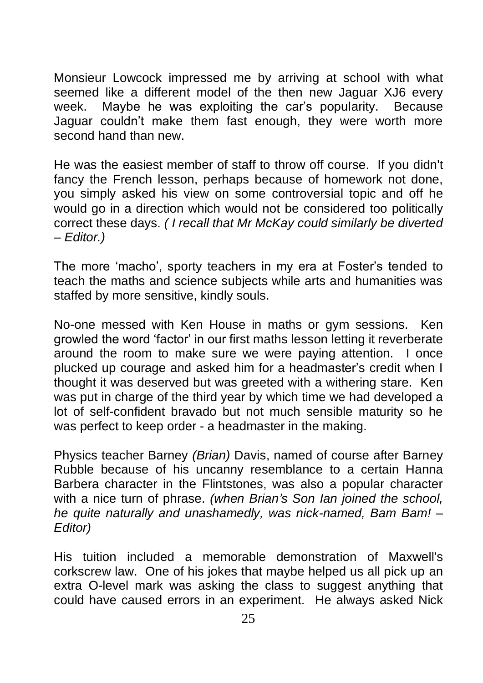Monsieur Lowcock impressed me by arriving at school with what seemed like a different model of the then new Jaguar XJ6 every week. Maybe he was exploiting the car's popularity. Because Jaguar couldn't make them fast enough, they were worth more second hand than new.

He was the easiest member of staff to throw off course. If you didn't fancy the French lesson, perhaps because of homework not done, you simply asked his view on some controversial topic and off he would go in a direction which would not be considered too politically correct these days. *( I recall that Mr McKay could similarly be diverted – Editor.)*

The more 'macho', sporty teachers in my era at Foster's tended to teach the maths and science subjects while arts and humanities was staffed by more sensitive, kindly souls.

No-one messed with Ken House in maths or gym sessions. Ken growled the word 'factor' in our first maths lesson letting it reverberate around the room to make sure we were paying attention. I once plucked up courage and asked him for a headmaster's credit when I thought it was deserved but was greeted with a withering stare. Ken was put in charge of the third year by which time we had developed a lot of self-confident bravado but not much sensible maturity so he was perfect to keep order - a headmaster in the making.

Physics teacher Barney *(Brian)* Davis, named of course after Barney Rubble because of his uncanny resemblance to a certain Hanna Barbera character in the Flintstones, was also a popular character with a nice turn of phrase. *(when Brian's Son Ian joined the school, he quite naturally and unashamedly, was nick-named, Bam Bam! – Editor)*

His tuition included a memorable demonstration of Maxwell's corkscrew law. One of his jokes that maybe helped us all pick up an extra O-level mark was asking the class to suggest anything that could have caused errors in an experiment. He always asked Nick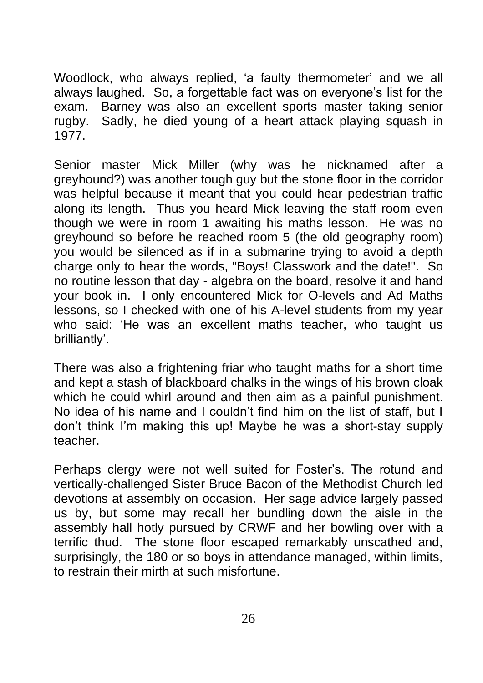Woodlock, who always replied, 'a faulty thermometer' and we all always laughed. So, a forgettable fact was on everyone's list for the exam. Barney was also an excellent sports master taking senior rugby. Sadly, he died young of a heart attack playing squash in 1977.

Senior master Mick Miller (why was he nicknamed after a greyhound?) was another tough guy but the stone floor in the corridor was helpful because it meant that you could hear pedestrian traffic along its length. Thus you heard Mick leaving the staff room even though we were in room 1 awaiting his maths lesson. He was no greyhound so before he reached room 5 (the old geography room) you would be silenced as if in a submarine trying to avoid a depth charge only to hear the words, "Boys! Classwork and the date!". So no routine lesson that day - algebra on the board, resolve it and hand your book in. I only encountered Mick for O-levels and Ad Maths lessons, so I checked with one of his A-level students from my year who said: 'He was an excellent maths teacher, who taught us brilliantly'.

There was also a frightening friar who taught maths for a short time and kept a stash of blackboard chalks in the wings of his brown cloak which he could whirl around and then aim as a painful punishment. No idea of his name and I couldn't find him on the list of staff, but I don't think I'm making this up! Maybe he was a short-stay supply teacher.

Perhaps clergy were not well suited for Foster's. The rotund and vertically-challenged Sister Bruce Bacon of the Methodist Church led devotions at assembly on occasion. Her sage advice largely passed us by, but some may recall her bundling down the aisle in the assembly hall hotly pursued by CRWF and her bowling over with a terrific thud. The stone floor escaped remarkably unscathed and, surprisingly, the 180 or so boys in attendance managed, within limits, to restrain their mirth at such misfortune.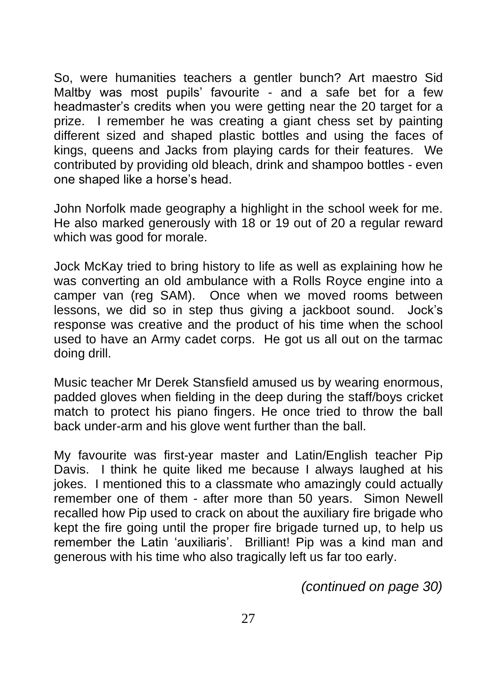So, were humanities teachers a gentler bunch? Art maestro Sid Maltby was most pupils' favourite - and a safe bet for a few headmaster's credits when you were getting near the 20 target for a prize. I remember he was creating a giant chess set by painting different sized and shaped plastic bottles and using the faces of kings, queens and Jacks from playing cards for their features. We contributed by providing old bleach, drink and shampoo bottles - even one shaped like a horse's head.

John Norfolk made geography a highlight in the school week for me. He also marked generously with 18 or 19 out of 20 a regular reward which was good for morale.

Jock McKay tried to bring history to life as well as explaining how he was converting an old ambulance with a Rolls Royce engine into a camper van (reg SAM). Once when we moved rooms between lessons, we did so in step thus giving a jackboot sound. Jock's response was creative and the product of his time when the school used to have an Army cadet corps. He got us all out on the tarmac doing drill.

Music teacher Mr Derek Stansfield amused us by wearing enormous, padded gloves when fielding in the deep during the staff/boys cricket match to protect his piano fingers. He once tried to throw the ball back under-arm and his glove went further than the ball.

My favourite was first-year master and Latin/English teacher Pip Davis. I think he quite liked me because I always laughed at his jokes. I mentioned this to a classmate who amazingly could actually remember one of them - after more than 50 years. Simon Newell recalled how Pip used to crack on about the auxiliary fire brigade who kept the fire going until the proper fire brigade turned up, to help us remember the Latin 'auxiliaris'. Brilliant! Pip was a kind man and generous with his time who also tragically left us far too early.

*(continued on page 30)*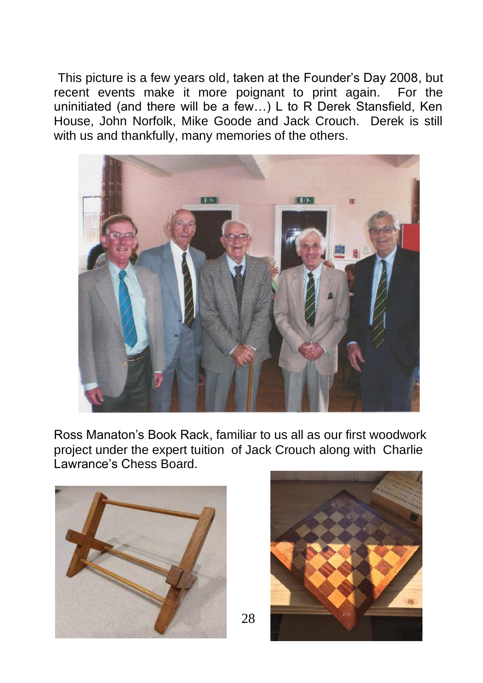This picture is a few years old, taken at the Founder's Day 2008, but recent events make it more poignant to print again. For the uninitiated (and there will be a few…) L to R Derek Stansfield, Ken House, John Norfolk, Mike Goode and Jack Crouch. Derek is still with us and thankfully, many memories of the others.



Ross Manaton's Book Rack, familiar to us all as our first woodwork project under the expert tuition of Jack Crouch along with Charlie Lawrance's Chess Board.





28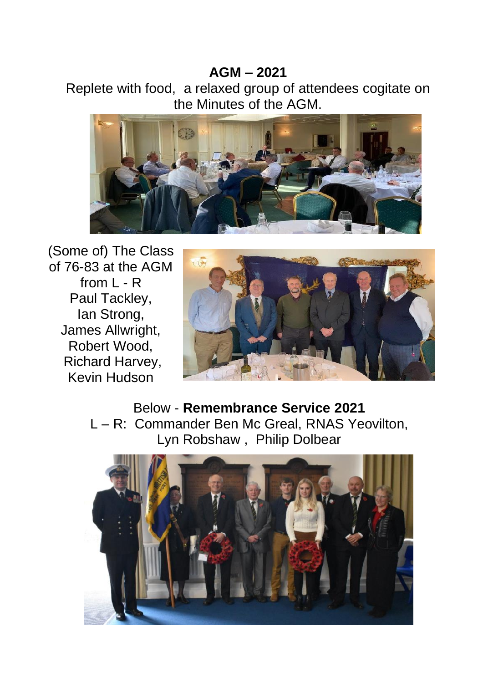#### **AGM – 2021**

Replete with food, a relaxed group of attendees cogitate on the Minutes of the AGM.



(Some of) The Class of 76-83 at the AGM from L - R Paul Tackley, Ian Strong, James Allwright, Robert Wood, Richard Harvey, Kevin Hudson



Below - **Remembrance Service 2021** L – R: Commander Ben Mc Greal, RNAS Yeovilton, Lyn Robshaw , Philip Dolbear

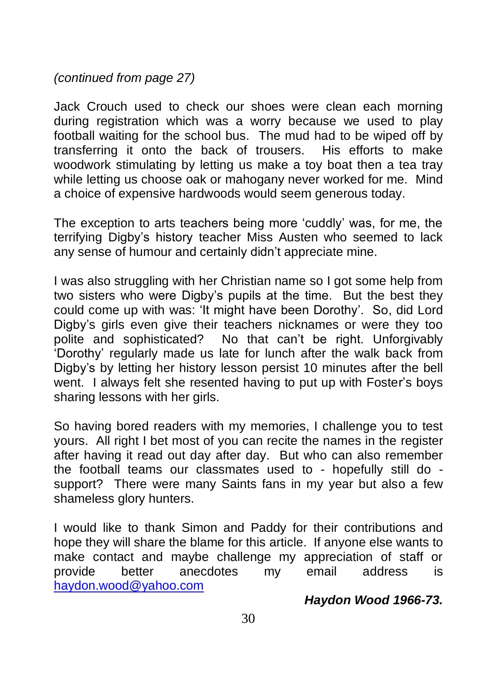*(continued from page 27)*

Jack Crouch used to check our shoes were clean each morning during registration which was a worry because we used to play football waiting for the school bus. The mud had to be wiped off by transferring it onto the back of trousers. His efforts to make woodwork stimulating by letting us make a toy boat then a tea tray while letting us choose oak or mahogany never worked for me. Mind a choice of expensive hardwoods would seem generous today.

The exception to arts teachers being more 'cuddly' was, for me, the terrifying Digby's history teacher Miss Austen who seemed to lack any sense of humour and certainly didn't appreciate mine.

I was also struggling with her Christian name so I got some help from two sisters who were Digby's pupils at the time. But the best they could come up with was: 'It might have been Dorothy'. So, did Lord Digby's girls even give their teachers nicknames or were they too polite and sophisticated? No that can't be right. Unforgivably 'Dorothy' regularly made us late for lunch after the walk back from Digby's by letting her history lesson persist 10 minutes after the bell went. I always felt she resented having to put up with Foster's boys sharing lessons with her girls.

So having bored readers with my memories, I challenge you to test yours. All right I bet most of you can recite the names in the register after having it read out day after day. But who can also remember the football teams our classmates used to - hopefully still do support? There were many Saints fans in my year but also a few shameless glory hunters.

I would like to thank Simon and Paddy for their contributions and hope they will share the blame for this article. If anyone else wants to make contact and maybe challenge my appreciation of staff or provide better anecdotes my email address is [haydon.wood@yahoo.com](mailto:haydon.wood@yahoo.com)

#### *Haydon Wood 1966-73.*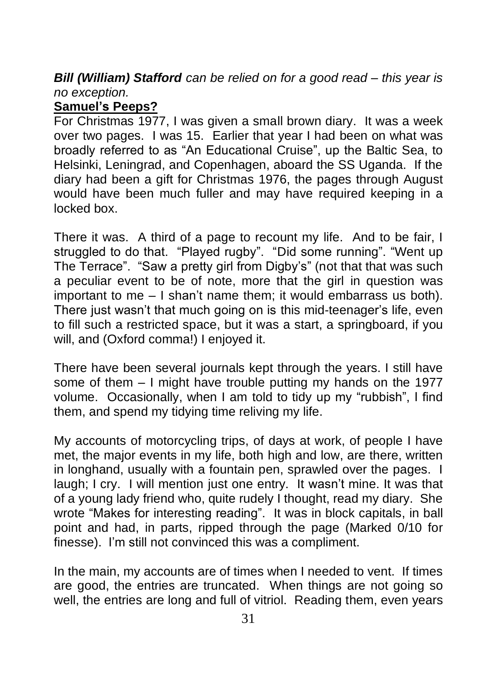*Bill (William) Stafford can be relied on for a good read – this year is no exception.*

#### **Samuel's Peeps?**

For Christmas 1977, I was given a small brown diary. It was a week over two pages. I was 15. Earlier that year I had been on what was broadly referred to as "An Educational Cruise", up the Baltic Sea, to Helsinki, Leningrad, and Copenhagen, aboard the SS Uganda. If the diary had been a gift for Christmas 1976, the pages through August would have been much fuller and may have required keeping in a locked box.

There it was. A third of a page to recount my life. And to be fair, I struggled to do that. "Played rugby". "Did some running". "Went up The Terrace". "Saw a pretty girl from Digby's" (not that that was such a peculiar event to be of note, more that the girl in question was important to me – I shan't name them; it would embarrass us both). There just wasn't that much going on is this mid-teenager's life, even to fill such a restricted space, but it was a start, a springboard, if you will, and (Oxford comma!) I enjoyed it.

There have been several journals kept through the years. I still have some of them – I might have trouble putting my hands on the 1977 volume. Occasionally, when I am told to tidy up my "rubbish", I find them, and spend my tidying time reliving my life.

My accounts of motorcycling trips, of days at work, of people I have met, the major events in my life, both high and low, are there, written in longhand, usually with a fountain pen, sprawled over the pages. I laugh; I cry. I will mention just one entry. It wasn't mine. It was that of a young lady friend who, quite rudely I thought, read my diary. She wrote "Makes for interesting reading". It was in block capitals, in ball point and had, in parts, ripped through the page (Marked 0/10 for finesse). I'm still not convinced this was a compliment.

In the main, my accounts are of times when I needed to vent. If times are good, the entries are truncated. When things are not going so well, the entries are long and full of vitriol. Reading them, even years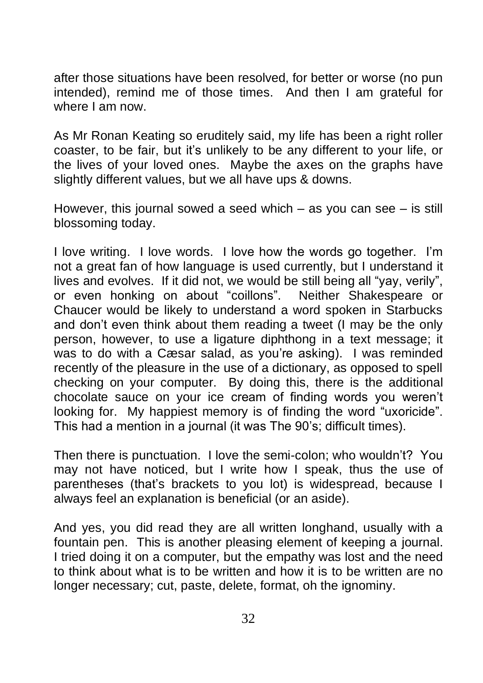after those situations have been resolved, for better or worse (no pun intended), remind me of those times. And then I am grateful for where I am now.

As Mr Ronan Keating so eruditely said, my life has been a right roller coaster, to be fair, but it's unlikely to be any different to your life, or the lives of your loved ones. Maybe the axes on the graphs have slightly different values, but we all have ups & downs.

However, this journal sowed a seed which – as you can see – is still blossoming today.

I love writing. I love words. I love how the words go together. I'm not a great fan of how language is used currently, but I understand it lives and evolves. If it did not, we would be still being all "yay, verily", or even honking on about "coillons". Neither Shakespeare or Chaucer would be likely to understand a word spoken in Starbucks and don't even think about them reading a tweet (I may be the only person, however, to use a ligature diphthong in a text message; it was to do with a Cæsar salad, as you're asking). I was reminded recently of the pleasure in the use of a dictionary, as opposed to spell checking on your computer. By doing this, there is the additional chocolate sauce on your ice cream of finding words you weren't looking for. My happiest memory is of finding the word "uxoricide". This had a mention in a journal (it was The 90's; difficult times).

Then there is punctuation. I love the semi-colon; who wouldn't? You may not have noticed, but I write how I speak, thus the use of parentheses (that's brackets to you lot) is widespread, because I always feel an explanation is beneficial (or an aside).

And yes, you did read they are all written longhand, usually with a fountain pen. This is another pleasing element of keeping a journal. I tried doing it on a computer, but the empathy was lost and the need to think about what is to be written and how it is to be written are no longer necessary; cut, paste, delete, format, oh the ignominy.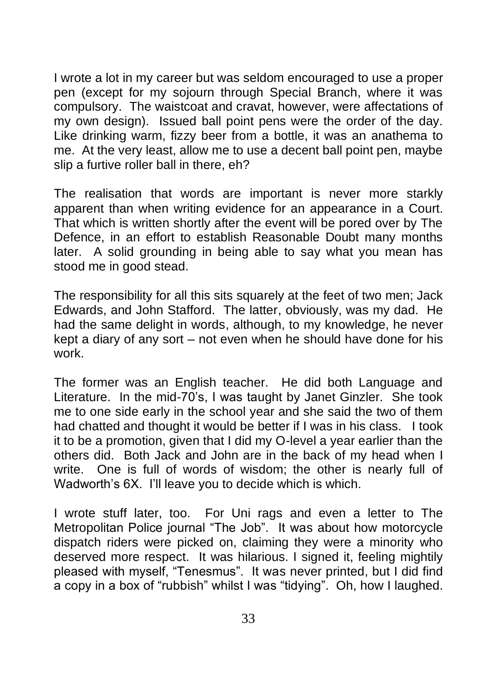I wrote a lot in my career but was seldom encouraged to use a proper pen (except for my sojourn through Special Branch, where it was compulsory. The waistcoat and cravat, however, were affectations of my own design). Issued ball point pens were the order of the day. Like drinking warm, fizzy beer from a bottle, it was an anathema to me. At the very least, allow me to use a decent ball point pen, maybe slip a furtive roller ball in there, eh?

The realisation that words are important is never more starkly apparent than when writing evidence for an appearance in a Court. That which is written shortly after the event will be pored over by The Defence, in an effort to establish Reasonable Doubt many months later. A solid grounding in being able to say what you mean has stood me in good stead.

The responsibility for all this sits squarely at the feet of two men; Jack Edwards, and John Stafford. The latter, obviously, was my dad. He had the same delight in words, although, to my knowledge, he never kept a diary of any sort – not even when he should have done for his work.

The former was an English teacher. He did both Language and Literature. In the mid-70's, I was taught by Janet Ginzler. She took me to one side early in the school year and she said the two of them had chatted and thought it would be better if I was in his class. I took it to be a promotion, given that I did my O-level a year earlier than the others did. Both Jack and John are in the back of my head when I write. One is full of words of wisdom; the other is nearly full of Wadworth's 6X. I'll leave you to decide which is which.

I wrote stuff later, too. For Uni rags and even a letter to The Metropolitan Police journal "The Job". It was about how motorcycle dispatch riders were picked on, claiming they were a minority who deserved more respect. It was hilarious. I signed it, feeling mightily pleased with myself, "Tenesmus". It was never printed, but I did find a copy in a box of "rubbish" whilst I was "tidying". Oh, how I laughed.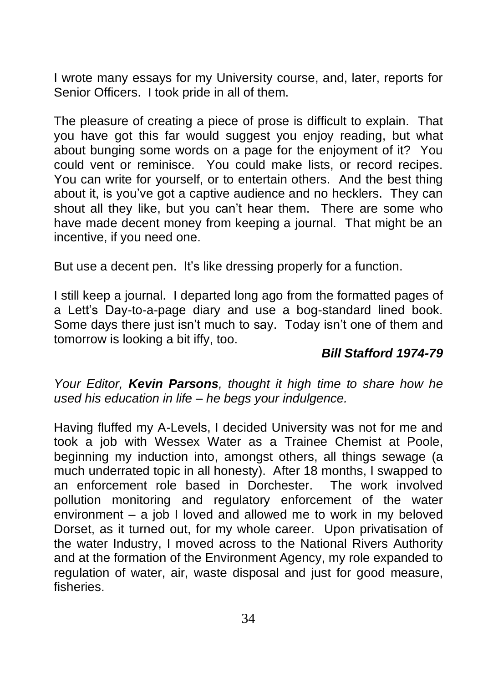I wrote many essays for my University course, and, later, reports for Senior Officers. I took pride in all of them.

The pleasure of creating a piece of prose is difficult to explain. That you have got this far would suggest you enjoy reading, but what about bunging some words on a page for the enjoyment of it? You could vent or reminisce. You could make lists, or record recipes. You can write for yourself, or to entertain others. And the best thing about it, is you've got a captive audience and no hecklers. They can shout all they like, but you can't hear them. There are some who have made decent money from keeping a journal. That might be an incentive, if you need one.

But use a decent pen. It's like dressing properly for a function.

I still keep a journal. I departed long ago from the formatted pages of a Lett's Day-to-a-page diary and use a bog-standard lined book. Some days there just isn't much to say. Today isn't one of them and tomorrow is looking a bit iffy, too.

#### *Bill Stafford 1974-79*

*Your Editor, Kevin Parsons, thought it high time to share how he used his education in life – he begs your indulgence.*

Having fluffed my A-Levels, I decided University was not for me and took a job with Wessex Water as a Trainee Chemist at Poole, beginning my induction into, amongst others, all things sewage (a much underrated topic in all honesty). After 18 months, I swapped to an enforcement role based in Dorchester. The work involved pollution monitoring and regulatory enforcement of the water environment – a job I loved and allowed me to work in my beloved Dorset, as it turned out, for my whole career. Upon privatisation of the water Industry, I moved across to the National Rivers Authority and at the formation of the Environment Agency, my role expanded to regulation of water, air, waste disposal and just for good measure, fisheries.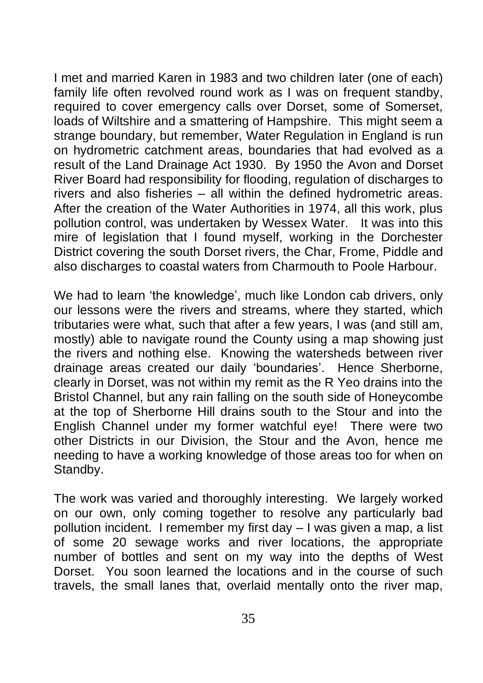I met and married Karen in 1983 and two children later (one of each) family life often revolved round work as I was on frequent standby. required to cover emergency calls over Dorset, some of Somerset, loads of Wiltshire and a smattering of Hampshire. This might seem a strange boundary, but remember, Water Regulation in England is run on hydrometric catchment areas, boundaries that had evolved as a result of the Land Drainage Act 1930. By 1950 the Avon and Dorset River Board had responsibility for flooding, regulation of discharges to rivers and also fisheries – all within the defined hydrometric areas. After the creation of the Water Authorities in 1974, all this work, plus pollution control, was undertaken by Wessex Water. It was into this mire of legislation that I found myself, working in the Dorchester District covering the south Dorset rivers, the Char, Frome, Piddle and also discharges to coastal waters from Charmouth to Poole Harbour.

We had to learn 'the knowledge', much like London cab drivers, only our lessons were the rivers and streams, where they started, which tributaries were what, such that after a few years, I was (and still am, mostly) able to navigate round the County using a map showing just the rivers and nothing else. Knowing the watersheds between river drainage areas created our daily 'boundaries'. Hence Sherborne, clearly in Dorset, was not within my remit as the R Yeo drains into the Bristol Channel, but any rain falling on the south side of Honeycombe at the top of Sherborne Hill drains south to the Stour and into the English Channel under my former watchful eye! There were two other Districts in our Division, the Stour and the Avon, hence me needing to have a working knowledge of those areas too for when on Standby.

The work was varied and thoroughly interesting. We largely worked on our own, only coming together to resolve any particularly bad pollution incident. I remember my first day – I was given a map, a list of some 20 sewage works and river locations, the appropriate number of bottles and sent on my way into the depths of West Dorset. You soon learned the locations and in the course of such travels, the small lanes that, overlaid mentally onto the river map,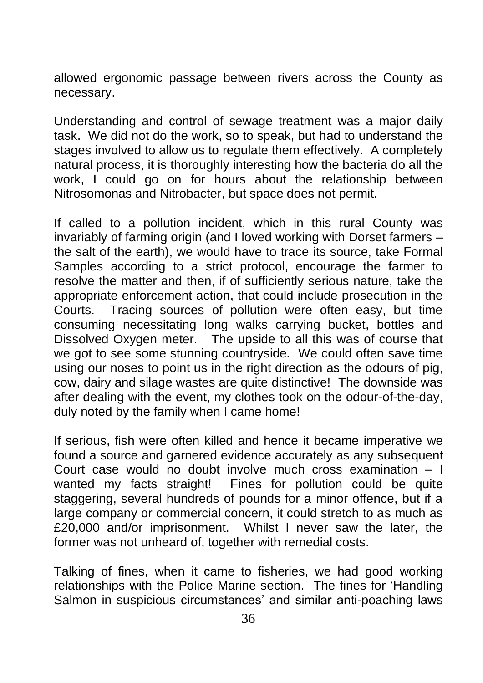allowed ergonomic passage between rivers across the County as necessary.

Understanding and control of sewage treatment was a major daily task. We did not do the work, so to speak, but had to understand the stages involved to allow us to regulate them effectively. A completely natural process, it is thoroughly interesting how the bacteria do all the work, I could go on for hours about the relationship between Nitrosomonas and Nitrobacter, but space does not permit.

If called to a pollution incident, which in this rural County was invariably of farming origin (and I loved working with Dorset farmers – the salt of the earth), we would have to trace its source, take Formal Samples according to a strict protocol, encourage the farmer to resolve the matter and then, if of sufficiently serious nature, take the appropriate enforcement action, that could include prosecution in the Courts. Tracing sources of pollution were often easy, but time consuming necessitating long walks carrying bucket, bottles and Dissolved Oxygen meter. The upside to all this was of course that we got to see some stunning countryside. We could often save time using our noses to point us in the right direction as the odours of pig, cow, dairy and silage wastes are quite distinctive! The downside was after dealing with the event, my clothes took on the odour-of-the-day, duly noted by the family when I came home!

If serious, fish were often killed and hence it became imperative we found a source and garnered evidence accurately as any subsequent Court case would no doubt involve much cross examination – I wanted my facts straight! Fines for pollution could be quite staggering, several hundreds of pounds for a minor offence, but if a large company or commercial concern, it could stretch to as much as £20,000 and/or imprisonment. Whilst I never saw the later, the former was not unheard of, together with remedial costs.

Talking of fines, when it came to fisheries, we had good working relationships with the Police Marine section. The fines for 'Handling Salmon in suspicious circumstances' and similar anti-poaching laws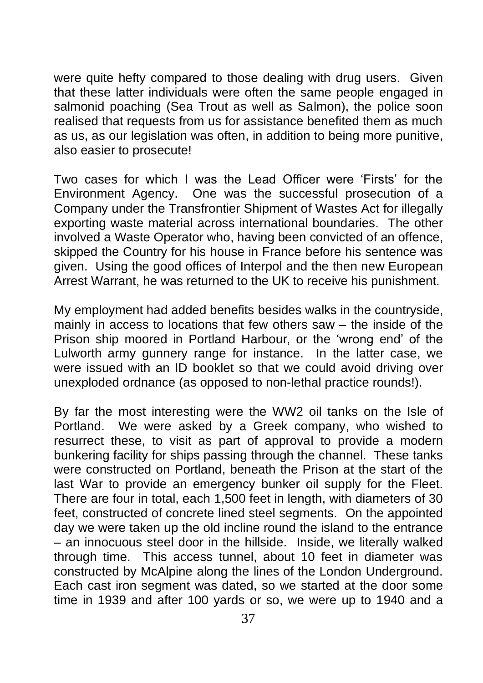were quite hefty compared to those dealing with drug users. Given that these latter individuals were often the same people engaged in salmonid poaching (Sea Trout as well as Salmon), the police soon realised that requests from us for assistance benefited them as much as us, as our legislation was often, in addition to being more punitive, also easier to prosecute!

Two cases for which I was the Lead Officer were 'Firsts' for the Environment Agency. One was the successful prosecution of a Company under the Transfrontier Shipment of Wastes Act for illegally exporting waste material across international boundaries. The other involved a Waste Operator who, having been convicted of an offence, skipped the Country for his house in France before his sentence was given. Using the good offices of Interpol and the then new European Arrest Warrant, he was returned to the UK to receive his punishment.

My employment had added benefits besides walks in the countryside, mainly in access to locations that few others saw – the inside of the Prison ship moored in Portland Harbour, or the 'wrong end' of the Lulworth army gunnery range for instance. In the latter case, we were issued with an ID booklet so that we could avoid driving over unexploded ordnance (as opposed to non-lethal practice rounds!).

By far the most interesting were the WW2 oil tanks on the Isle of Portland. We were asked by a Greek company, who wished to resurrect these, to visit as part of approval to provide a modern bunkering facility for ships passing through the channel. These tanks were constructed on Portland, beneath the Prison at the start of the last War to provide an emergency bunker oil supply for the Fleet. There are four in total, each 1,500 feet in length, with diameters of 30 feet, constructed of concrete lined steel segments. On the appointed day we were taken up the old incline round the island to the entrance – an innocuous steel door in the hillside. Inside, we literally walked through time. This access tunnel, about 10 feet in diameter was constructed by McAlpine along the lines of the London Underground. Each cast iron segment was dated, so we started at the door some time in 1939 and after 100 yards or so, we were up to 1940 and a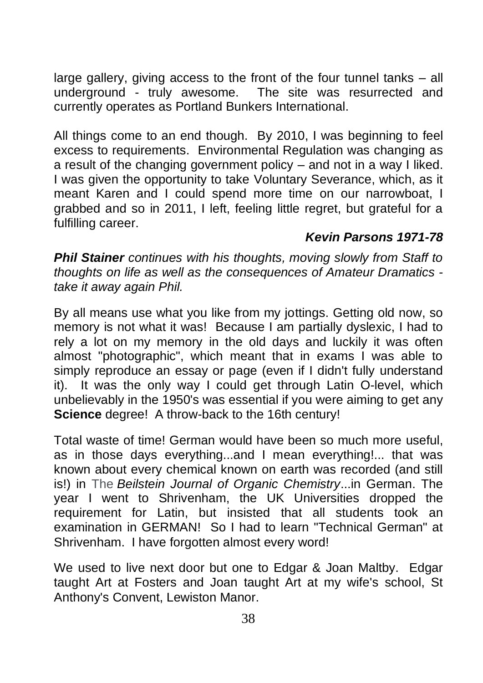large gallery, giving access to the front of the four tunnel tanks – all underground - truly awesome. The site was resurrected and currently operates as Portland Bunkers International.

All things come to an end though. By 2010, I was beginning to feel excess to requirements. Environmental Regulation was changing as a result of the changing government policy – and not in a way I liked. I was given the opportunity to take Voluntary Severance, which, as it meant Karen and I could spend more time on our narrowboat, I grabbed and so in 2011, I left, feeling little regret, but grateful for a fulfilling career.

#### *Kevin Parsons 1971-78*

*Phil Stainer continues with his thoughts, moving slowly from Staff to thoughts on life as well as the consequences of Amateur Dramatics take it away again Phil.*

By all means use what you like from my jottings. Getting old now, so memory is not what it was! Because I am partially dyslexic, I had to rely a lot on my memory in the old days and luckily it was often almost "photographic", which meant that in exams I was able to simply reproduce an essay or page (even if I didn't fully understand it). It was the only way I could get through Latin O-level, which unbelievably in the 1950's was essential if you were aiming to get any **Science** degree! A throw-back to the 16th century!

Total waste of time! German would have been so much more useful, as in those days everything...and I mean everything!... that was known about every chemical known on earth was recorded (and still is!) in The *Beilstein Journal of Organic Chemistry*...in German. The year I went to Shrivenham, the UK Universities dropped the requirement for Latin, but insisted that all students took an examination in GERMAN! So I had to learn "Technical German" at Shrivenham. I have forgotten almost every word!

We used to live next door but one to Edgar & Joan Maltby. Edgar taught Art at Fosters and Joan taught Art at my wife's school, St Anthony's Convent, Lewiston Manor.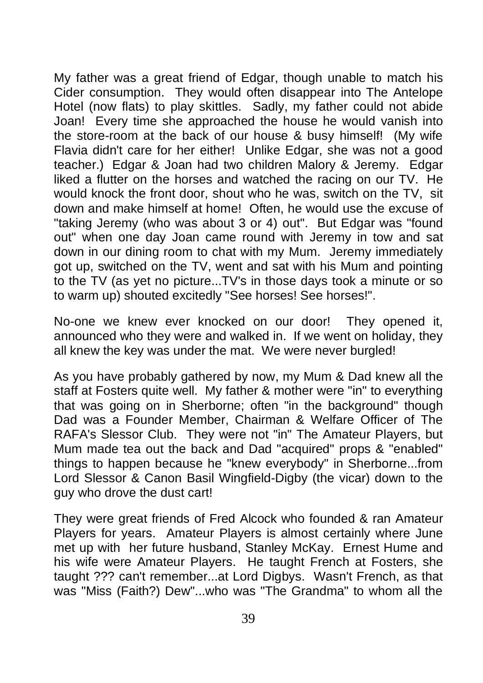My father was a great friend of Edgar, though unable to match his Cider consumption. They would often disappear into The Antelope Hotel (now flats) to play skittles. Sadly, my father could not abide Joan! Every time she approached the house he would vanish into the store-room at the back of our house & busy himself! (My wife Flavia didn't care for her either! Unlike Edgar, she was not a good teacher.) Edgar & Joan had two children Malory & Jeremy. Edgar liked a flutter on the horses and watched the racing on our TV. He would knock the front door, shout who he was, switch on the TV, sit down and make himself at home! Often, he would use the excuse of "taking Jeremy (who was about 3 or 4) out". But Edgar was "found out" when one day Joan came round with Jeremy in tow and sat down in our dining room to chat with my Mum. Jeremy immediately got up, switched on the TV, went and sat with his Mum and pointing to the TV (as yet no picture...TV's in those days took a minute or so to warm up) shouted excitedly "See horses! See horses!".

No-one we knew ever knocked on our door! They opened it, announced who they were and walked in. If we went on holiday, they all knew the key was under the mat. We were never burgled!

As you have probably gathered by now, my Mum & Dad knew all the staff at Fosters quite well. My father & mother were "in" to everything that was going on in Sherborne; often "in the background" though Dad was a Founder Member, Chairman & Welfare Officer of The RAFA's Slessor Club. They were not "in" The Amateur Players, but Mum made tea out the back and Dad "acquired" props & "enabled" things to happen because he "knew everybody" in Sherborne...from Lord Slessor & Canon Basil Wingfield-Digby (the vicar) down to the guy who drove the dust cart!

They were great friends of Fred Alcock who founded & ran Amateur Players for years. Amateur Players is almost certainly where June met up with her future husband, Stanley McKay. Ernest Hume and his wife were Amateur Players. He taught French at Fosters, she taught ??? can't remember...at Lord Digbys. Wasn't French, as that was "Miss (Faith?) Dew"...who was "The Grandma" to whom all the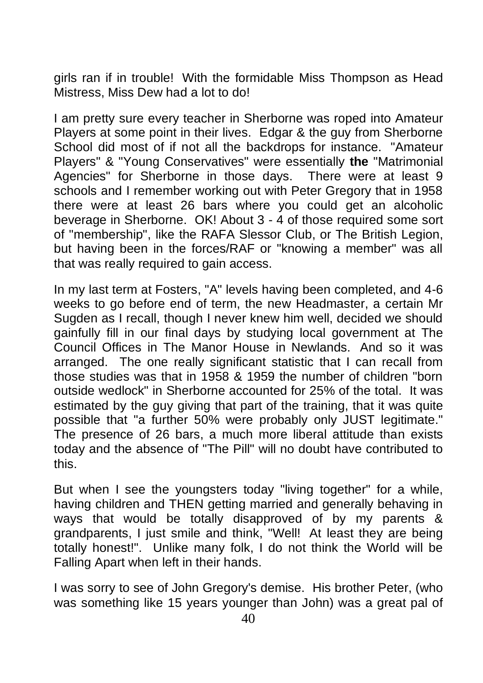girls ran if in trouble! With the formidable Miss Thompson as Head Mistress, Miss Dew had a lot to do!

I am pretty sure every teacher in Sherborne was roped into Amateur Players at some point in their lives. Edgar & the guy from Sherborne School did most of if not all the backdrops for instance. "Amateur Players" & "Young Conservatives" were essentially **the** "Matrimonial Agencies" for Sherborne in those days. There were at least 9 schools and I remember working out with Peter Gregory that in 1958 there were at least 26 bars where you could get an alcoholic beverage in Sherborne. OK! About 3 - 4 of those required some sort of "membership", like the RAFA Slessor Club, or The British Legion, but having been in the forces/RAF or "knowing a member" was all that was really required to gain access.

In my last term at Fosters, "A" levels having been completed, and 4-6 weeks to go before end of term, the new Headmaster, a certain Mr Sugden as I recall, though I never knew him well, decided we should gainfully fill in our final days by studying local government at The Council Offices in The Manor House in Newlands. And so it was arranged. The one really significant statistic that I can recall from those studies was that in 1958 & 1959 the number of children "born outside wedlock" in Sherborne accounted for 25% of the total. It was estimated by the guy giving that part of the training, that it was quite possible that "a further 50% were probably only JUST legitimate." The presence of 26 bars, a much more liberal attitude than exists today and the absence of "The Pill" will no doubt have contributed to this.

But when I see the youngsters today "living together" for a while, having children and THEN getting married and generally behaving in ways that would be totally disapproved of by my parents & grandparents, I just smile and think, "Well! At least they are being totally honest!". Unlike many folk, I do not think the World will be Falling Apart when left in their hands.

I was sorry to see of John Gregory's demise. His brother Peter, (who was something like 15 years younger than John) was a great pal of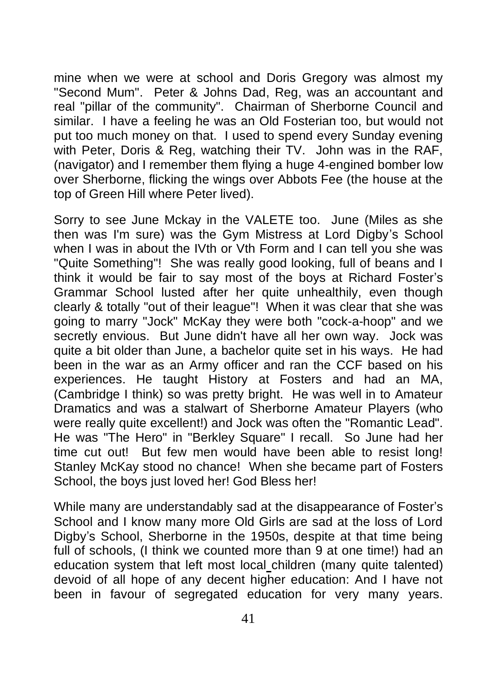mine when we were at school and Doris Gregory was almost my "Second Mum". Peter & Johns Dad, Reg, was an accountant and real "pillar of the community". Chairman of Sherborne Council and similar. I have a feeling he was an Old Fosterian too, but would not put too much money on that. I used to spend every Sunday evening with Peter, Doris & Reg, watching their TV. John was in the RAF, (navigator) and I remember them flying a huge 4-engined bomber low over Sherborne, flicking the wings over Abbots Fee (the house at the top of Green Hill where Peter lived).

Sorry to see June Mckay in the VALETE too. June (Miles as she then was I'm sure) was the Gym Mistress at Lord Digby's School when I was in about the IVth or Vth Form and I can tell you she was "Quite Something"! She was really good looking, full of beans and I think it would be fair to say most of the boys at Richard Foster's Grammar School lusted after her quite unhealthily, even though clearly & totally "out of their league"! When it was clear that she was going to marry "Jock" McKay they were both "cock-a-hoop" and we secretly envious. But June didn't have all her own way. Jock was quite a bit older than June, a bachelor quite set in his ways. He had been in the war as an Army officer and ran the CCF based on his experiences. He taught History at Fosters and had an MA, (Cambridge I think) so was pretty bright. He was well in to Amateur Dramatics and was a stalwart of Sherborne Amateur Players (who were really quite excellent!) and Jock was often the "Romantic Lead". He was "The Hero" in "Berkley Square" I recall. So June had her time cut out! But few men would have been able to resist long! Stanley McKay stood no chance! When she became part of Fosters School, the boys just loved her! God Bless her!

While many are understandably sad at the disappearance of Foster's School and I know many more Old Girls are sad at the loss of Lord Digby's School, Sherborne in the 1950s, despite at that time being full of schools, (I think we counted more than 9 at one time!) had an education system that left most local children (many quite talented) devoid of all hope of any decent higher education: And I have not been in favour of segregated education for very many years.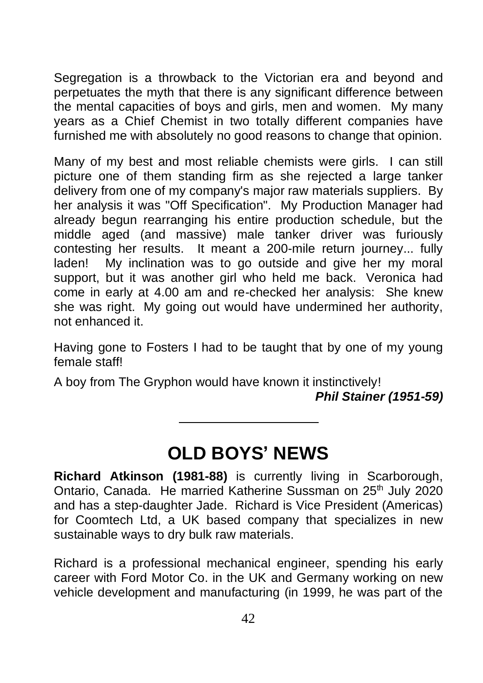Segregation is a throwback to the Victorian era and beyond and perpetuates the myth that there is any significant difference between the mental capacities of boys and girls, men and women. My many years as a Chief Chemist in two totally different companies have furnished me with absolutely no good reasons to change that opinion.

Many of my best and most reliable chemists were girls. I can still picture one of them standing firm as she rejected a large tanker delivery from one of my company's major raw materials suppliers. By her analysis it was "Off Specification". My Production Manager had already begun rearranging his entire production schedule, but the middle aged (and massive) male tanker driver was furiously contesting her results. It meant a 200-mile return journey... fully laden! My inclination was to go outside and give her my moral support, but it was another girl who held me back. Veronica had come in early at 4.00 am and re-checked her analysis: She knew she was right. My going out would have undermined her authority, not enhanced it.

Having gone to Fosters I had to be taught that by one of my young female staff!

A boy from The Gryphon would have known it instinctively!

*Phil Stainer (1951-59)*

## **OLD BOYS' NEWS**

**Richard Atkinson (1981-88)** is currently living in Scarborough, Ontario, Canada. He married Katherine Sussman on 25<sup>th</sup> July 2020 and has a step-daughter Jade. Richard is Vice President (Americas) for Coomtech Ltd, a UK based company that specializes in new sustainable ways to dry bulk raw materials.

Richard is a professional mechanical engineer, spending his early career with Ford Motor Co. in the UK and Germany working on new vehicle development and manufacturing (in 1999, he was part of the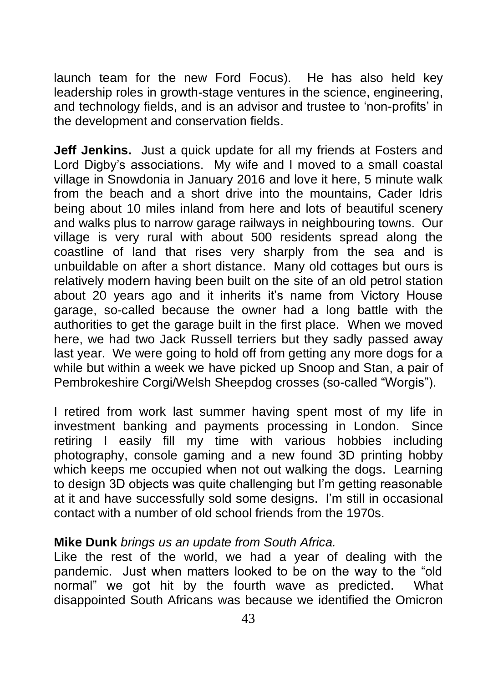launch team for the new Ford Focus). He has also held key leadership roles in growth-stage ventures in the science, engineering, and technology fields, and is an advisor and trustee to 'non-profits' in the development and conservation fields.

**Jeff Jenkins.** Just a quick update for all my friends at Fosters and Lord Digby's associations. My wife and I moved to a small coastal village in Snowdonia in January 2016 and love it here, 5 minute walk from the beach and a short drive into the mountains, Cader Idris being about 10 miles inland from here and lots of beautiful scenery and walks plus to narrow garage railways in neighbouring towns. Our village is very rural with about 500 residents spread along the coastline of land that rises very sharply from the sea and is unbuildable on after a short distance. Many old cottages but ours is relatively modern having been built on the site of an old petrol station about 20 years ago and it inherits it's name from Victory House garage, so-called because the owner had a long battle with the authorities to get the garage built in the first place. When we moved here, we had two Jack Russell terriers but they sadly passed away last year. We were going to hold off from getting any more dogs for a while but within a week we have picked up Snoop and Stan, a pair of Pembrokeshire Corgi/Welsh Sheepdog crosses (so-called "Worgis").

I retired from work last summer having spent most of my life in investment banking and payments processing in London. Since retiring I easily fill my time with various hobbies including photography, console gaming and a new found 3D printing hobby which keeps me occupied when not out walking the dogs. Learning to design 3D objects was quite challenging but I'm getting reasonable at it and have successfully sold some designs. I'm still in occasional contact with a number of old school friends from the 1970s.

#### **Mike Dunk** *brings us an update from South Africa.*

Like the rest of the world, we had a year of dealing with the pandemic. Just when matters looked to be on the way to the "old normal" we got hit by the fourth wave as predicted. What disappointed South Africans was because we identified the Omicron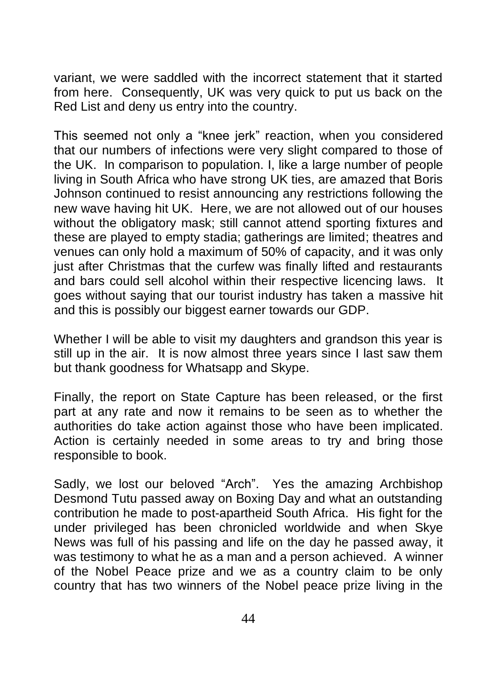variant, we were saddled with the incorrect statement that it started from here. Consequently, UK was very quick to put us back on the Red List and deny us entry into the country.

This seemed not only a "knee jerk" reaction, when you considered that our numbers of infections were very slight compared to those of the UK. In comparison to population. I, like a large number of people living in South Africa who have strong UK ties, are amazed that Boris Johnson continued to resist announcing any restrictions following the new wave having hit UK. Here, we are not allowed out of our houses without the obligatory mask; still cannot attend sporting fixtures and these are played to empty stadia; gatherings are limited; theatres and venues can only hold a maximum of 50% of capacity, and it was only just after Christmas that the curfew was finally lifted and restaurants and bars could sell alcohol within their respective licencing laws. It goes without saying that our tourist industry has taken a massive hit and this is possibly our biggest earner towards our GDP.

Whether I will be able to visit my daughters and grandson this year is still up in the air. It is now almost three years since I last saw them but thank goodness for Whatsapp and Skype.

Finally, the report on State Capture has been released, or the first part at any rate and now it remains to be seen as to whether the authorities do take action against those who have been implicated. Action is certainly needed in some areas to try and bring those responsible to book.

Sadly, we lost our beloved "Arch". Yes the amazing Archbishop Desmond Tutu passed away on Boxing Day and what an outstanding contribution he made to post-apartheid South Africa. His fight for the under privileged has been chronicled worldwide and when Skye News was full of his passing and life on the day he passed away, it was testimony to what he as a man and a person achieved. A winner of the Nobel Peace prize and we as a country claim to be only country that has two winners of the Nobel peace prize living in the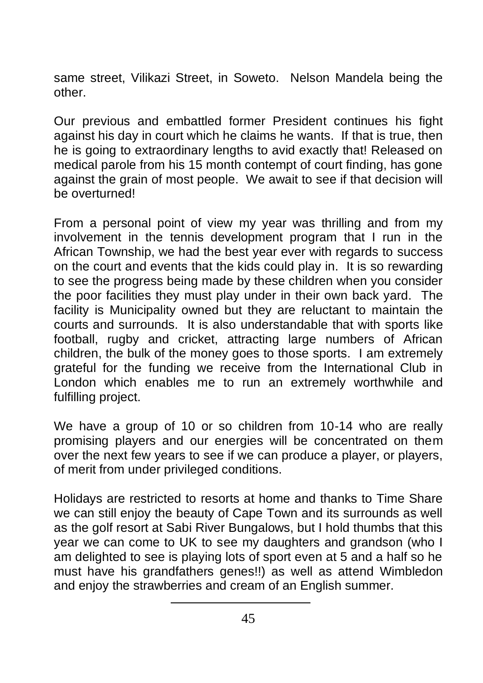same street, Vilikazi Street, in Soweto. Nelson Mandela being the other.

Our previous and embattled former President continues his fight against his day in court which he claims he wants. If that is true, then he is going to extraordinary lengths to avid exactly that! Released on medical parole from his 15 month contempt of court finding, has gone against the grain of most people. We await to see if that decision will be overturned!

From a personal point of view my year was thrilling and from my involvement in the tennis development program that I run in the African Township, we had the best year ever with regards to success on the court and events that the kids could play in. It is so rewarding to see the progress being made by these children when you consider the poor facilities they must play under in their own back yard. The facility is Municipality owned but they are reluctant to maintain the courts and surrounds. It is also understandable that with sports like football, rugby and cricket, attracting large numbers of African children, the bulk of the money goes to those sports. I am extremely grateful for the funding we receive from the International Club in London which enables me to run an extremely worthwhile and fulfilling project.

We have a group of 10 or so children from 10-14 who are really promising players and our energies will be concentrated on them over the next few years to see if we can produce a player, or players, of merit from under privileged conditions.

Holidays are restricted to resorts at home and thanks to Time Share we can still enjoy the beauty of Cape Town and its surrounds as well as the golf resort at Sabi River Bungalows, but I hold thumbs that this year we can come to UK to see my daughters and grandson (who I am delighted to see is playing lots of sport even at 5 and a half so he must have his grandfathers genes!!) as well as attend Wimbledon and enjoy the strawberries and cream of an English summer.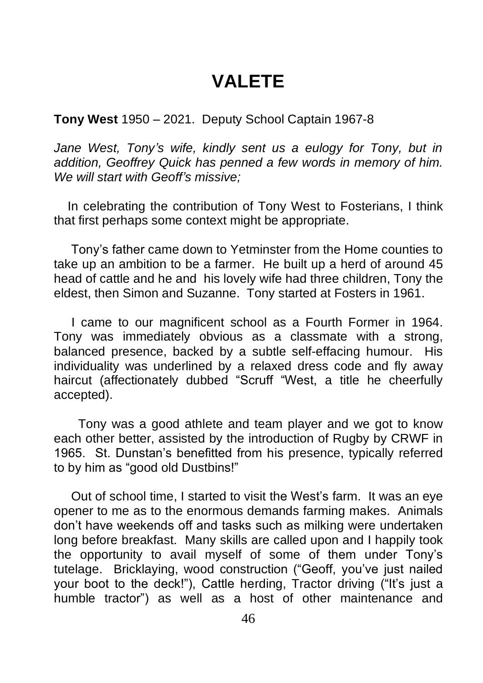### **VALETE**

**Tony West** 1950 – 2021. Deputy School Captain 1967-8

Jane West, Tony's wife, kindly sent us a eulogy for Tony, but in *addition, Geoffrey Quick has penned a few words in memory of him. We will start with Geoff's missive;*

 In celebrating the contribution of Tony West to Fosterians, I think that first perhaps some context might be appropriate.

 Tony's father came down to Yetminster from the Home counties to take up an ambition to be a farmer. He built up a herd of around 45 head of cattle and he and his lovely wife had three children, Tony the eldest, then Simon and Suzanne. Tony started at Fosters in 1961.

 I came to our magnificent school as a Fourth Former in 1964. Tony was immediately obvious as a classmate with a strong, balanced presence, backed by a subtle self-effacing humour. His individuality was underlined by a relaxed dress code and fly away haircut (affectionately dubbed "Scruff "West, a title he cheerfully accepted).

 Tony was a good athlete and team player and we got to know each other better, assisted by the introduction of Rugby by CRWF in 1965. St. Dunstan's benefitted from his presence, typically referred to by him as "good old Dustbins!"

 Out of school time, I started to visit the West's farm. It was an eye opener to me as to the enormous demands farming makes. Animals don't have weekends off and tasks such as milking were undertaken long before breakfast. Many skills are called upon and I happily took the opportunity to avail myself of some of them under Tony's tutelage. Bricklaying, wood construction ("Geoff, you've just nailed your boot to the deck!"), Cattle herding, Tractor driving ("It's just a humble tractor") as well as a host of other maintenance and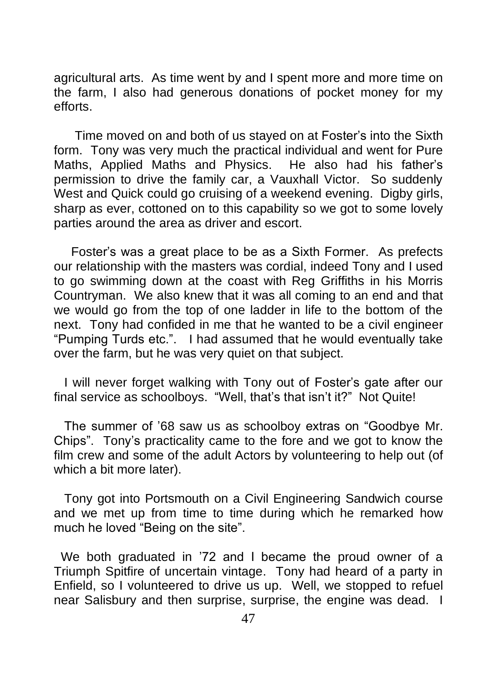agricultural arts. As time went by and I spent more and more time on the farm, I also had generous donations of pocket money for my efforts.

 Time moved on and both of us stayed on at Foster's into the Sixth form. Tony was very much the practical individual and went for Pure Maths, Applied Maths and Physics. He also had his father's permission to drive the family car, a Vauxhall Victor. So suddenly West and Quick could go cruising of a weekend evening. Digby girls, sharp as ever, cottoned on to this capability so we got to some lovely parties around the area as driver and escort.

 Foster's was a great place to be as a Sixth Former. As prefects our relationship with the masters was cordial, indeed Tony and I used to go swimming down at the coast with Reg Griffiths in his Morris Countryman. We also knew that it was all coming to an end and that we would go from the top of one ladder in life to the bottom of the next. Tony had confided in me that he wanted to be a civil engineer "Pumping Turds etc.". I had assumed that he would eventually take over the farm, but he was very quiet on that subject.

 I will never forget walking with Tony out of Foster's gate after our final service as schoolboys. "Well, that's that isn't it?" Not Quite!

 The summer of '68 saw us as schoolboy extras on "Goodbye Mr. Chips". Tony's practicality came to the fore and we got to know the film crew and some of the adult Actors by volunteering to help out (of which a bit more later).

 Tony got into Portsmouth on a Civil Engineering Sandwich course and we met up from time to time during which he remarked how much he loved "Being on the site".

 We both graduated in '72 and I became the proud owner of a Triumph Spitfire of uncertain vintage. Tony had heard of a party in Enfield, so I volunteered to drive us up. Well, we stopped to refuel near Salisbury and then surprise, surprise, the engine was dead. I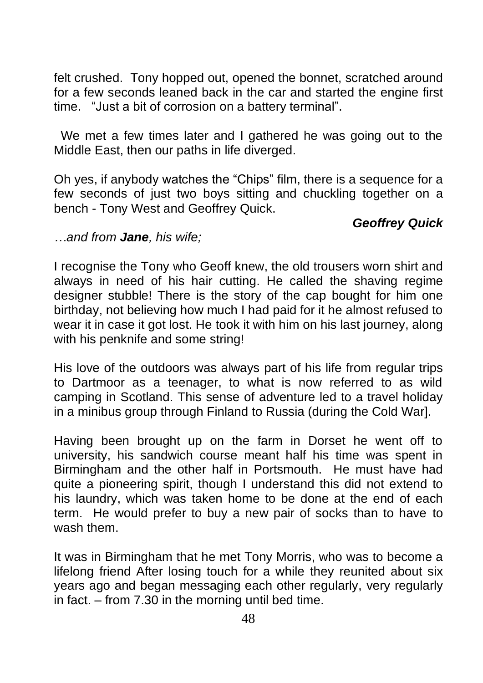felt crushed. Tony hopped out, opened the bonnet, scratched around for a few seconds leaned back in the car and started the engine first time. "Just a bit of corrosion on a battery terminal".

 We met a few times later and I gathered he was going out to the Middle East, then our paths in life diverged.

Oh yes, if anybody watches the "Chips" film, there is a sequence for a few seconds of just two boys sitting and chuckling together on a bench - Tony West and Geoffrey Quick.

#### *Geoffrey Quick*

*…and from Jane, his wife;*

I recognise the Tony who Geoff knew, the old trousers worn shirt and always in need of his hair cutting. He called the shaving regime designer stubble! There is the story of the cap bought for him one birthday, not believing how much I had paid for it he almost refused to wear it in case it got lost. He took it with him on his last journey, along with his penknife and some string!

His love of the outdoors was always part of his life from regular trips to Dartmoor as a teenager, to what is now referred to as wild camping in Scotland. This sense of adventure led to a travel holiday in a minibus group through Finland to Russia (during the Cold War].

Having been brought up on the farm in Dorset he went off to university, his sandwich course meant half his time was spent in Birmingham and the other half in Portsmouth. He must have had quite a pioneering spirit, though I understand this did not extend to his laundry, which was taken home to be done at the end of each term. He would prefer to buy a new pair of socks than to have to wash them.

It was in Birmingham that he met Tony Morris, who was to become a lifelong friend After losing touch for a while they reunited about six years ago and began messaging each other regularly, very regularly in fact. – from 7.30 in the morning until bed time.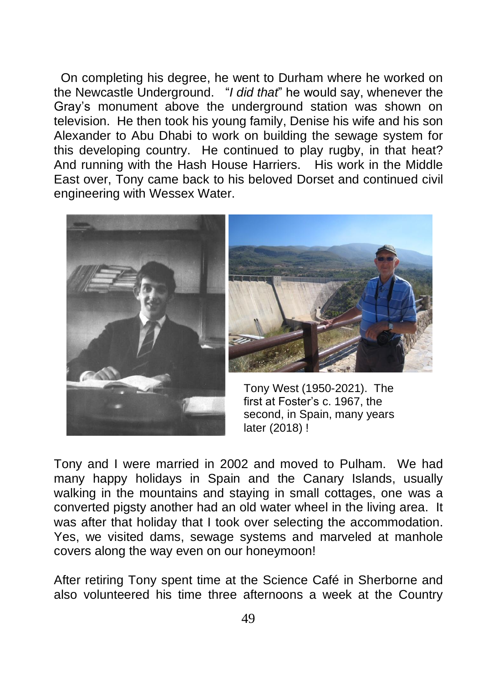On completing his degree, he went to Durham where he worked on the Newcastle Underground. "*I did that*" he would say, whenever the Gray's monument above the underground station was shown on television. He then took his young family, Denise his wife and his son Alexander to Abu Dhabi to work on building the sewage system for this developing country. He continued to play rugby, in that heat? And running with the Hash House Harriers. His work in the Middle East over, Tony came back to his beloved Dorset and continued civil engineering with Wessex Water.





Tony West (1950-2021). The first at Foster's c. 1967, the second, in Spain, many years later (2018) !

Tony and I were married in 2002 and moved to Pulham. We had many happy holidays in Spain and the Canary Islands, usually walking in the mountains and staying in small cottages, one was a converted pigsty another had an old water wheel in the living area. It was after that holiday that I took over selecting the accommodation. Yes, we visited dams, sewage systems and marveled at manhole covers along the way even on our honeymoon!

After retiring Tony spent time at the Science Café in Sherborne and also volunteered his time three afternoons a week at the Country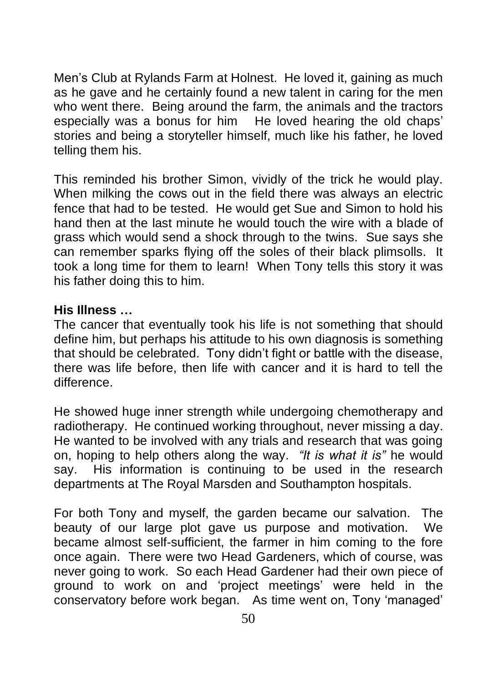Men's Club at Rylands Farm at Holnest. He loved it, gaining as much as he gave and he certainly found a new talent in caring for the men who went there. Being around the farm, the animals and the tractors especially was a bonus for him He loved hearing the old chaps' stories and being a storyteller himself, much like his father, he loved telling them his.

This reminded his brother Simon, vividly of the trick he would play. When milking the cows out in the field there was always an electric fence that had to be tested. He would get Sue and Simon to hold his hand then at the last minute he would touch the wire with a blade of grass which would send a shock through to the twins. Sue says she can remember sparks flying off the soles of their black plimsolls. It took a long time for them to learn! When Tony tells this story it was his father doing this to him.

#### **His Illness …**

The cancer that eventually took his life is not something that should define him, but perhaps his attitude to his own diagnosis is something that should be celebrated. Tony didn't fight or battle with the disease, there was life before, then life with cancer and it is hard to tell the difference.

He showed huge inner strength while undergoing chemotherapy and radiotherapy. He continued working throughout, never missing a day. He wanted to be involved with any trials and research that was going on, hoping to help others along the way. *"It is what it is"* he would say. His information is continuing to be used in the research departments at The Royal Marsden and Southampton hospitals.

For both Tony and myself, the garden became our salvation. The beauty of our large plot gave us purpose and motivation. We became almost self-sufficient, the farmer in him coming to the fore once again. There were two Head Gardeners, which of course, was never going to work. So each Head Gardener had their own piece of ground to work on and 'project meetings' were held in the conservatory before work began. As time went on, Tony 'managed'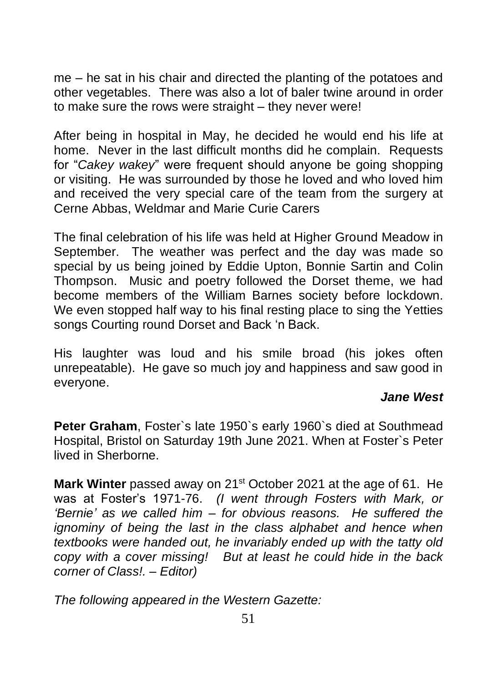me – he sat in his chair and directed the planting of the potatoes and other vegetables. There was also a lot of baler twine around in order to make sure the rows were straight – they never were!

After being in hospital in May, he decided he would end his life at home. Never in the last difficult months did he complain. Requests for "*Cakey wakey*" were frequent should anyone be going shopping or visiting. He was surrounded by those he loved and who loved him and received the very special care of the team from the surgery at Cerne Abbas, Weldmar and Marie Curie Carers

The final celebration of his life was held at Higher Ground Meadow in September. The weather was perfect and the day was made so special by us being joined by Eddie Upton, Bonnie Sartin and Colin Thompson. Music and poetry followed the Dorset theme, we had become members of the William Barnes society before lockdown. We even stopped half way to his final resting place to sing the Yetties songs Courting round Dorset and Back 'n Back.

His laughter was loud and his smile broad (his jokes often unrepeatable). He gave so much joy and happiness and saw good in everyone.

#### *Jane West*

**Peter Graham**, Foster`s late 1950`s early 1960`s died at Southmead Hospital, Bristol on Saturday 19th June 2021. When at Foster`s Peter lived in Sherborne.

**Mark Winter** passed away on 21st October 2021 at the age of 61. He was at Foster's 1971-76. *(I went through Fosters with Mark, or 'Bernie' as we called him – for obvious reasons. He suffered the ignominy of being the last in the class alphabet and hence when textbooks were handed out, he invariably ended up with the tatty old copy with a cover missing! But at least he could hide in the back corner of Class!. – Editor)*

*The following appeared in the Western Gazette:*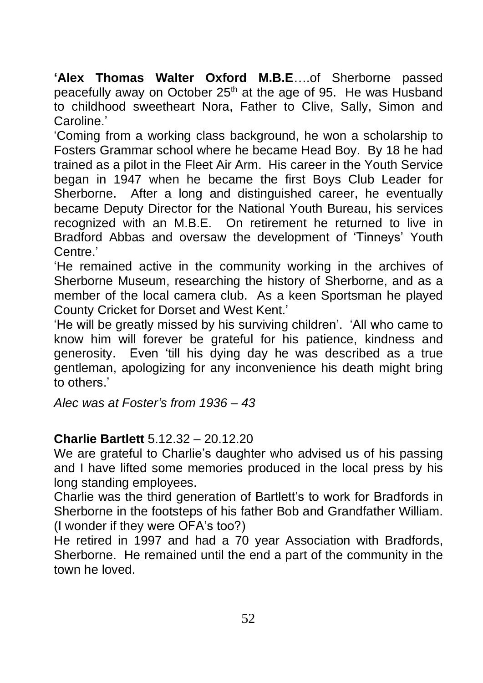**'Alex Thomas Walter Oxford M.B.E**….of Sherborne passed peacefully away on October 25<sup>th</sup> at the age of 95. He was Husband to childhood sweetheart Nora, Father to Clive, Sally, Simon and Caroline.'

'Coming from a working class background, he won a scholarship to Fosters Grammar school where he became Head Boy. By 18 he had trained as a pilot in the Fleet Air Arm. His career in the Youth Service began in 1947 when he became the first Boys Club Leader for Sherborne. After a long and distinguished career, he eventually became Deputy Director for the National Youth Bureau, his services recognized with an M.B.E. On retirement he returned to live in Bradford Abbas and oversaw the development of 'Tinneys' Youth Centre.'

'He remained active in the community working in the archives of Sherborne Museum, researching the history of Sherborne, and as a member of the local camera club. As a keen Sportsman he played County Cricket for Dorset and West Kent.'

'He will be greatly missed by his surviving children'. 'All who came to know him will forever be grateful for his patience, kindness and generosity. Even 'till his dying day he was described as a true gentleman, apologizing for any inconvenience his death might bring to others.'

*Alec was at Foster's from 1936 – 43*

#### **Charlie Bartlett** 5.12.32 – 20.12.20

We are grateful to Charlie's daughter who advised us of his passing and I have lifted some memories produced in the local press by his long standing employees.

Charlie was the third generation of Bartlett's to work for Bradfords in Sherborne in the footsteps of his father Bob and Grandfather William. (I wonder if they were OFA's too?)

He retired in 1997 and had a 70 year Association with Bradfords, Sherborne. He remained until the end a part of the community in the town he loved.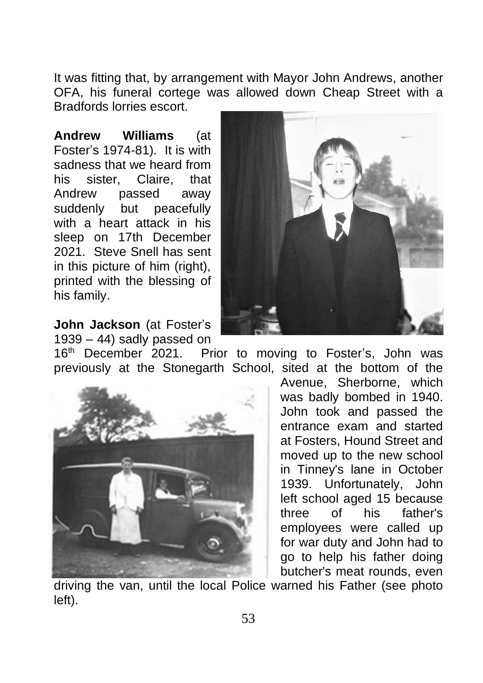It was fitting that, by arrangement with Mayor John Andrews, another OFA, his funeral cortege was allowed down Cheap Street with a Bradfords lorries escort.

**Andrew Williams** (at Foster's 1974-81). It is with sadness that we heard from his sister, Claire, that Andrew passed away suddenly but peacefully with a heart attack in his sleep on 17th December 2021. Steve Snell has sent in this picture of him (right), printed with the blessing of his family.



**John Jackson** (at Foster's 1939 – 44) sadly passed on

16<sup>th</sup> December 2021. Prior to moving to Foster's, John was previously at the Stonegarth School, sited at the bottom of the



Avenue, Sherborne, which was badly bombed in 1940. John took and passed the entrance exam and started at Fosters, Hound Street and moved up to the new school in Tinney's lane in October 1939. Unfortunately, John left school aged 15 because three of his father's employees were called up for war duty and John had to go to help his father doing butcher's meat rounds, even

driving the van, until the local Police warned his Father (see photo left).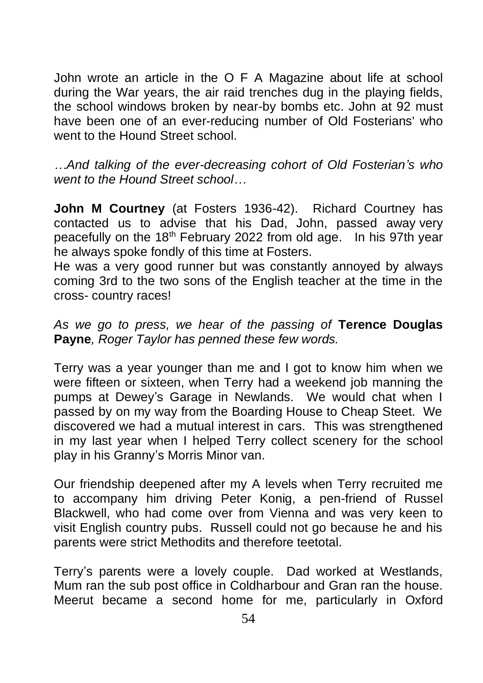John wrote an article in the O F A Magazine about life at school during the War years, the air raid trenches dug in the playing fields, the school windows broken by near-by bombs etc. John at 92 must have been one of an ever-reducing number of Old Fosterians' who went to the Hound Street school.

*…And talking of the ever-decreasing cohort of Old Fosterian's who went to the Hound Street school…*

**John M Courtney** (at Fosters 1936-42). Richard Courtney has contacted us to advise that his Dad, John, passed away very peacefully on the 18<sup>th</sup> February 2022 from old age. In his 97th year he always spoke fondly of this time at Fosters.

He was a very good runner but was constantly annoyed by always coming 3rd to the two sons of the English teacher at the time in the cross- country races!

*As we go to press, we hear of the passing of* **Terence Douglas Payne***, Roger Taylor has penned these few words.*

Terry was a year younger than me and I got to know him when we were fifteen or sixteen, when Terry had a weekend job manning the pumps at Dewey's Garage in Newlands. We would chat when I passed by on my way from the Boarding House to Cheap Steet. We discovered we had a mutual interest in cars. This was strengthened in my last year when I helped Terry collect scenery for the school play in his Granny's Morris Minor van.

Our friendship deepened after my A levels when Terry recruited me to accompany him driving Peter Konig, a pen-friend of Russel Blackwell, who had come over from Vienna and was very keen to visit English country pubs. Russell could not go because he and his parents were strict Methodits and therefore teetotal.

Terry's parents were a lovely couple. Dad worked at Westlands, Mum ran the sub post office in Coldharbour and Gran ran the house. Meerut became a second home for me, particularly in Oxford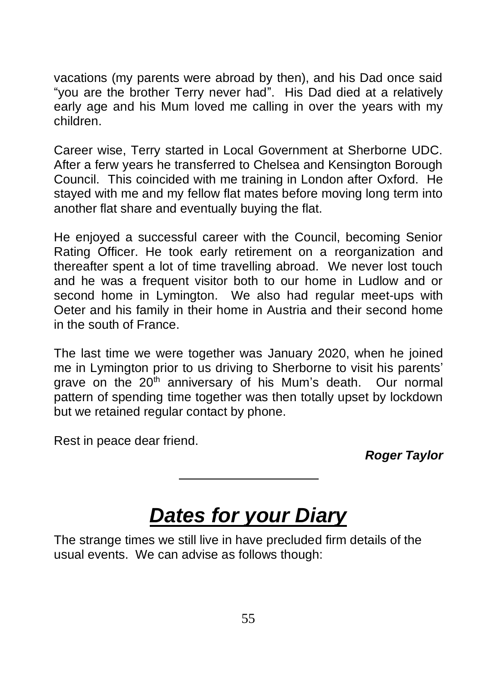vacations (my parents were abroad by then), and his Dad once said "you are the brother Terry never had". His Dad died at a relatively early age and his Mum loved me calling in over the years with my children.

Career wise, Terry started in Local Government at Sherborne UDC. After a ferw years he transferred to Chelsea and Kensington Borough Council. This coincided with me training in London after Oxford. He stayed with me and my fellow flat mates before moving long term into another flat share and eventually buying the flat.

He enjoyed a successful career with the Council, becoming Senior Rating Officer. He took early retirement on a reorganization and thereafter spent a lot of time travelling abroad. We never lost touch and he was a frequent visitor both to our home in Ludlow and or second home in Lymington. We also had regular meet-ups with Oeter and his family in their home in Austria and their second home in the south of France.

The last time we were together was January 2020, when he joined me in Lymington prior to us driving to Sherborne to visit his parents' grave on the  $20<sup>th</sup>$  anniversary of his Mum's death. Our normal pattern of spending time together was then totally upset by lockdown but we retained regular contact by phone.

Rest in peace dear friend.

*Roger Taylor*

# *Dates for your Diary*

The strange times we still live in have precluded firm details of the usual events. We can advise as follows though: